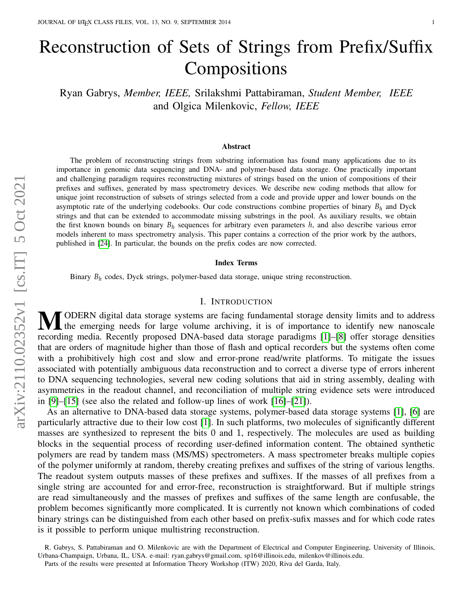# Reconstruction of Sets of Strings from Prefix/Suffix Compositions

Ryan Gabrys, *Member, IEEE,* Srilakshmi Pattabiraman, *Student Member, IEEE* and Olgica Milenkovic, *Fellow, IEEE*

#### Abstract

The problem of reconstructing strings from substring information has found many applications due to its importance in genomic data sequencing and DNA- and polymer-based data storage. One practically important and challenging paradigm requires reconstructing mixtures of strings based on the union of compositions of their prefixes and suffixes, generated by mass spectrometry devices. We describe new coding methods that allow for unique joint reconstruction of subsets of strings selected from a code and provide upper and lower bounds on the asymptotic rate of the underlying codebooks. Our code constructions combine properties of binary  $B_h$  and Dyck strings and that can be extended to accommodate missing substrings in the pool. As auxiliary results, we obtain the first known bounds on binary *B<sup>h</sup>* sequences for arbitrary even parameters *h*, and also describe various error models inherent to mass spectrometry analysis. This paper contains a correction of the prior work by the authors, published in [\[24\]](#page-23-0). In particular, the bounds on the prefix codes are now corrected.

#### Index Terms

Binary *B<sup>h</sup>* codes, Dyck strings, polymer-based data storage, unique string reconstruction.

# I. INTRODUCTION

MODERN digital data storage systems are facing fundamental storage density limits and to address **I** the emerging needs for large volume archiving, it is of importance to identify new nanoscale recording media. Recently proposed DNA-based data storage paradigms [\[1\]](#page-22-0)–[\[8\]](#page-22-1) offer storage densities that are orders of magnitude higher than those of flash and optical recorders but the systems often come with a prohibitively high cost and slow and error-prone read/write platforms. To mitigate the issues associated with potentially ambiguous data reconstruction and to correct a diverse type of errors inherent to DNA sequencing technologies, several new coding solutions that aid in string assembly, dealing with asymmetries in the readout channel, and reconciliation of multiple string evidence sets were introduced in [\[9\]](#page-22-2)–[\[15\]](#page-22-3) (see also the related and follow-up lines of work [\[16\]](#page-22-4)–[\[21\]](#page-23-1)).

As an alternative to DNA-based data storage systems, polymer-based data storage systems [\[1\]](#page-22-0), [\[6\]](#page-22-5) are particularly attractive due to their low cost [\[1\]](#page-22-0). In such platforms, two molecules of significantly different masses are synthesized to represent the bits 0 and 1, respectively. The molecules are used as building blocks in the sequential process of recording user-defined information content. The obtained synthetic polymers are read by tandem mass (MS/MS) spectrometers. A mass spectrometer breaks multiple copies of the polymer uniformly at random, thereby creating prefixes and suffixes of the string of various lengths. The readout system outputs masses of these prefixes and suffixes. If the masses of all prefixes from a single string are accounted for and error-free, reconstruction is straightforward. But if multiple strings are read simultaneously and the masses of prefixes and suffixes of the same length are confusable, the problem becomes significantly more complicated. It is currently not known which combinations of coded binary strings can be distinguished from each other based on prefix-sufix masses and for which code rates is it possible to perform unique multistring reconstruction.

R. Gabrys, S. Pattabiraman and O. Milenkovic are with the Department of Electrical and Computer Engineering, University of Illinois, Urbana-Champaign, Urbana, IL, USA. e-mail: ryan.gabrys@gmail.com, sp16@illinois.edu, milenkov@illinois.edu.

Parts of the results were presented at Information Theory Workshop (ITW) 2020, Riva del Garda, Italy.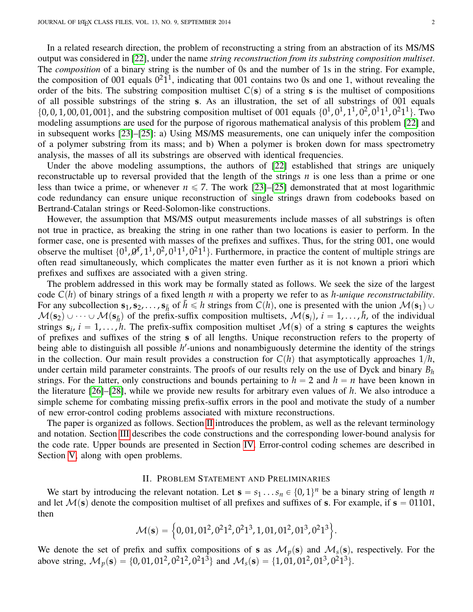In a related research direction, the problem of reconstructing a string from an abstraction of its MS/MS output was considered in [\[22\]](#page-23-2), under the name *string reconstruction from its substring composition multiset*. The *composition* of a binary string is the number of 0s and the number of 1s in the string. For example, the composition of 001 equals  $0^21^1$ , indicating that 001 contains two 0s and one 1, without revealing the order of the bits. The substring composition multiset  $C(s)$  of a string **s** is the multiset of compositions of all possible substrings of the string **s**. As an illustration, the set of all substrings of 001 equals  $\{0, 0, 1, 00, 01, 001\}$ , and the substring composition multiset of 001 equals  $\{0^1, 0^1, 1^1, 0^2, 0^1, 1^1, 0^2, 1^1\}$ . Two modeling assumptions are used for the purpose of rigorous mathematical analysis of this problem [\[22\]](#page-23-2) and in subsequent works [\[23\]](#page-23-3)–[\[25\]](#page-23-4): a) Using MS/MS measurements, one can uniquely infer the composition of a polymer substring from its mass; and b) When a polymer is broken down for mass spectrometry analysis, the masses of all its substrings are observed with identical frequencies.

Under the above modeling assumptions, the authors of [\[22\]](#page-23-2) established that strings are uniquely reconstructable up to reversal provided that the length of the strings *n* is one less than a prime or one less than twice a prime, or whenever  $n \le 7$ . The work [\[23\]](#page-23-3)–[\[25\]](#page-23-4) demonstrated that at most logarithmic code redundancy can ensure unique reconstruction of single strings drawn from codebooks based on Bertrand-Catalan strings or Reed-Solomon-like constructions.

However, the assumption that MS/MS output measurements include masses of all substrings is often not true in practice, as breaking the string in one rather than two locations is easier to perform. In the former case, one is presented with masses of the prefixes and suffixes. Thus, for the string 001, one would observe the multiset  $\{0^1, 0^1, 1^1, 0^2, 0^1, 1^1, 0^2, 1^1\}$ . Furthermore, in practice the content of multiple strings are often read simultaneously, which complicates the matter even further as it is not known a priori which prefixes and suffixes are associated with a given string.

The problem addressed in this work may be formally stated as follows. We seek the size of the largest code  $C(h)$  of binary strings of a fixed length *n* with a property we refer to as *h-unique reconstructability*. For any subcollection  $\mathbf{s}_1, \mathbf{s}_2, \ldots, \mathbf{s}_{\bar{h}}$  of  $\bar{h} \leq h$  strings from  $C(h)$ , one is presented with the union  $\mathcal{M}(\mathbf{s}_1)$  $M(s_2) \cup \cdots \cup M(s_{\bar{h}})$  of the prefix-suffix composition multisets,  $M(s_i)$ ,  $i = 1, \ldots, \bar{h}$ , of the individual strings  $\mathbf{s}_i$ ,  $i = 1, ..., h$ . The prefix-suffix composition multiset  $\mathcal{M}(\mathbf{s})$  of a string **s** captures the weights of prefixes and suffixes of the string **s** of all lengths. Unique reconstruction refers to the property of being able to distinguish all possible h'-unions and nonambiguously determine the identity of the strings in the collection. Our main result provides a construction for  $C(h)$  that asymptotically approaches  $1/h$ , under certain mild parameter constraints. The proofs of our results rely on the use of Dyck and binary *B<sup>h</sup>* strings. For the latter, only constructions and bounds pertaining to  $h = 2$  and  $h = n$  have been known in the literature [\[26\]](#page-23-5)–[\[28\]](#page-23-6), while we provide new results for arbitrary even values of *h*. We also introduce a simple scheme for combating missing prefix-suffix errors in the pool and motivate the study of a number of new error-control coding problems associated with mixture reconstructions.

The paper is organized as follows. Section [II](#page-1-0) introduces the problem, as well as the relevant terminology and notation. Section [III](#page-3-0) describes the code constructions and the corresponding lower-bound analysis for the code rate. Upper bounds are presented in Section [IV.](#page-10-0) Error-control coding schemes are described in Section [V,](#page-12-0) along with open problems.

# II. PROBLEM STATEMENT AND PRELIMINARIES

<span id="page-1-0"></span>We start by introducing the relevant notation. Let  $\mathbf{s} = s_1 \dots s_n \in \{0, 1\}^n$  be a binary string of length *n* and let  $\mathcal{M}(s)$  denote the composition multiset of all prefixes and suffixes of **s**. For example, if  $s = 01101$ , then )

$$
\mathcal{M}(\mathbf{s}) = \left\{0, 01, 01^2, 0^21^2, 0^21^3, 1, 01, 01^2, 01^3, 0^21^3\right\}.
$$

We denote the set of prefix and suffix compositions of **s** as  $\mathcal{M}_p(\mathbf{s})$  and  $\mathcal{M}_s(\mathbf{s})$ , respectively. For the above string,  $M_p(\mathbf{s}) = \{0, 01, 01^2, 0^21^2, 0^21^3\}$  and  $M_s(\mathbf{s}) = \{1, 01, 01^2, 01^3, 0^21^3\}$ .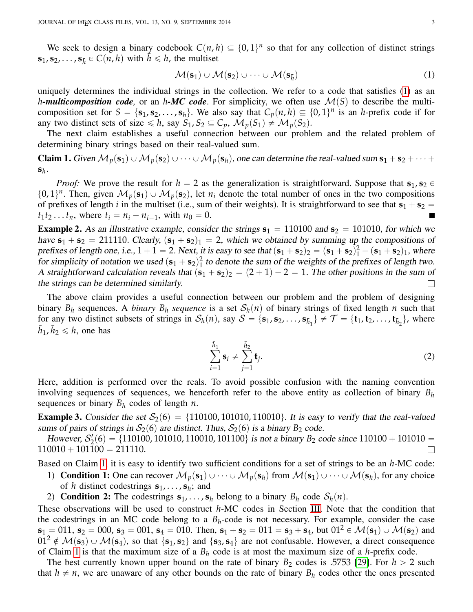We seek to design a binary codebook  $C(n, h) \subseteq \{0, 1\}^n$  so that for any collection of distinct strings  $\mathbf{s}_1, \mathbf{s}_2, \dots, \mathbf{s}_{\bar{h}} \in C(n, h)$  with  $\bar{h} \leq h$ , the multiset

<span id="page-2-1"></span><span id="page-2-0"></span>
$$
\mathcal{M}(\mathbf{s}_1) \cup \mathcal{M}(\mathbf{s}_2) \cup \cdots \cup \mathcal{M}(\mathbf{s}_{\bar{h}})
$$
\n(1)

uniquely determines the individual strings in the collection. We refer to a code that satisfies [\(1\)](#page-2-0) as an *h*-multicomposition code, or an *h*-MC code. For simplicity, we often use  $\mathcal{M}(S)$  to describe the multicomposition set for  $S = \{s_1, s_2, \ldots, s_h\}$ . We also say that  $C_p(n, h) \subseteq \{0, 1\}^n$  is an *h*-prefix code if for any two distinct sets of size  $\leq h$ , say  $S_1, S_2 \subseteq C_p$ ,  $\mathcal{M}_p(S_1) \neq \mathcal{M}_p(S_2)$ .

The next claim establishes a useful connection between our problem and the related problem of determining binary strings based on their real-valued sum.

**Claim 1.** Given  $M_p(s_1) \cup M_p(s_2) \cup \cdots \cup M_p(s_h)$ , one can determine the real-valued sum  $s_1 + s_2 + \cdots +$ **s***h* .

*Proof:* We prove the result for  $h = 2$  as the generalization is straightforward. Suppose that  $\mathbf{s}_1, \mathbf{s}_2 \in$  $\{0, 1\}^n$ . Then, given  $\mathcal{M}_p(\mathbf{s}_1) \cup \mathcal{M}_p(\mathbf{s}_2)$ , let  $n_i$  denote the total number of ones in the two compositions of prefixes of length *i* in the multiset (i.e., sum of their weights). It is straightforward to see that  $s_1 + s_2 =$  $t_1 t_2 \dots t_n$ , where  $t_i = n_i - n_{i-1}$ , with  $n_0 = 0$ . П

<span id="page-2-2"></span>**Example 2.** As an illustrative example, consider the strings  $s_1 = 110100$  and  $s_2 = 101010$ , for which we have  $s_1 + s_2 = 211110$ . Clearly,  $(s_1 + s_2)_1 = 2$ , which we obtained by summing up the compositions of prefixes of length one, i.e.,  $1 + 1 = 2$ . Next, it is easy to see that  $(\mathbf{s}_1 + \mathbf{s}_2)_2 = (\mathbf{s}_1 + \mathbf{s}_2)_1^2 - (\mathbf{s}_1 + \mathbf{s}_2)_1$ , where for simplicity of notation we used  $(\mathbf{s}_1 + \mathbf{s}_2)_1^2$  $\frac{1}{1}$  to denote the sum of the weights of the prefixes of length two. A straightforward calculation reveals that  $(\mathbf{s}_1 + \mathbf{s}_2)_2 = (2 + 1) - 2 = 1$ . The other positions in the sum of the strings can be determined similarly.  $\Box$ 

The above claim provides a useful connection between our problem and the problem of designing binary  $B_h$  sequences. A *binary*  $B_h$  *sequence* is a set  $S_h(n)$  of binary strings of fixed length *n* such that for any two distinct subsets of strings in  $\mathcal{S}_h(n)$ , say  $\mathcal{S} = {\mathbf{s}_1, \mathbf{s}_2, ..., \mathbf{s}_{\bar{h}_1}} \neq \mathcal{T} = {\mathbf{t}_1, \mathbf{t}_2, ..., \mathbf{t}_{\bar{h}_2}}$ , where  $\bar{h}_1$ ,  $\bar{h}_2 \leq h$ , one has

$$
\sum_{i=1}^{\bar{h}_1} \mathbf{s}_i \neq \sum_{j=1}^{\bar{h}_2} \mathbf{t}_j.
$$
 (2)

Here, addition is performed over the reals. To avoid possible confusion with the naming convention involving sequences of sequences, we henceforth refer to the above entity as collection of binary *B<sup>h</sup>* sequences or binary  $B_h$  codes of length *n*.

**Example 3.** Consider the set  $S_2(6) = \{110100, 101010, 110010\}$ . It is easy to verify that the real-valued sums of pairs of strings in  $S_2(6)$  are distinct. Thus,  $S_2(6)$  is a binary  $B_2$  code.

However,  $S_2'(6) = \{110100, 101010, 110010, 101100\}$  is not a binary  $B_2$  code since  $110100 + 101010 =$  $110010 + 101100 = 211110.$ 

Based on Claim [1,](#page-2-1) it is easy to identify two sufficient conditions for a set of strings to be an *h*-MC code:

1) **Condition 1:** One can recover  $\mathcal{M}_p(\mathbf{s}_1) \cup \cdots \cup \mathcal{M}_p(\mathbf{s}_h)$  from  $\mathcal{M}(\mathbf{s}_1) \cup \cdots \cup \mathcal{M}(\mathbf{s}_h)$ , for any choice of *h* distinct codestrings  $\mathbf{s}_1, \ldots, \mathbf{s}_h$ ; and

2) Condition 2: The codestrings  $\mathbf{s}_1, \ldots, \mathbf{s}_h$  belong to a binary  $B_h$  code  $S_h(n)$ .

These observations will be used to construct *h*-MC codes in Section [III.](#page-3-0) Note that the condition that the codestrings in an MC code belong to a  $B_h$ -code is not necessary. For example, consider the case  $\mathbf{s}_1 = 011$ ,  $\mathbf{s}_2 = 000$ ,  $\mathbf{s}_3 = 001$ ,  $\mathbf{s}_4 = 010$ . Then,  $\mathbf{s}_1 + \mathbf{s}_2 = 011 = \mathbf{s}_3 + \mathbf{s}_4$ , but  $01^2 \in \mathcal{M}(\mathbf{s}_1) \cup \mathcal{M}(\mathbf{s}_2)$  and  $0.01^2 \notin \mathcal{M}(s_3) \cup \mathcal{M}(s_4)$ , so that  $\{s_1, s_2\}$  and  $\{s_3, s_4\}$  are not confusable. However, a direct consequence of Claim [1](#page-2-1) is that the maximum size of a *B<sup>h</sup>* code is at most the maximum size of a *h*-prefix code.

The best currently known upper bound on the rate of binary  $B_2$  codes is .5753 [\[29\]](#page-23-7). For  $h > 2$  such that  $h \neq n$ , we are unaware of any other bounds on the rate of binary  $B_h$  codes other the ones presented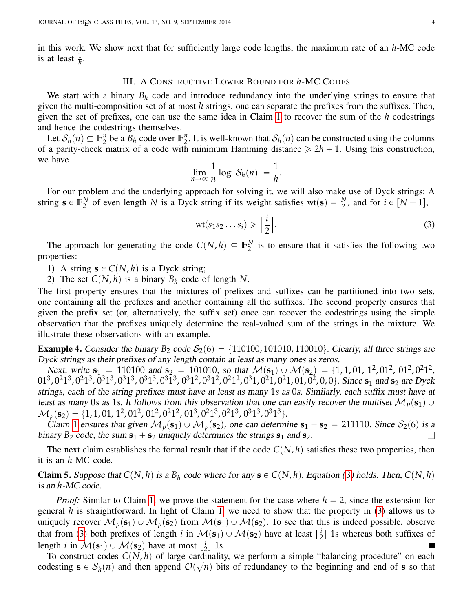in this work. We show next that for sufficiently large code lengths, the maximum rate of an *h*-MC code is at least  $\frac{1}{h}$ .

# III. A CONSTRUCTIVE LOWER BOUND FOR *h*-MC CODES

<span id="page-3-0"></span>We start with a binary  $B_h$  code and introduce redundancy into the underlying strings to ensure that given the multi-composition set of at most *h* strings, one can separate the prefixes from the suffixes. Then, given the set of prefixes, one can use the same idea in Claim [1](#page-2-1) to recover the sum of the *h* codestrings and hence the codestrings themselves.

Let  $\mathcal{S}_h(n) \subseteq \mathbb{F}_2^n$  $n_2$ <sup>*n*</sup> be a  $B_h$  code over  $\mathbb{F}_2^n$ <sup>n</sup><sub>2</sub>. It is well-known that  $S_h(n)$  can be constructed using the columns of a parity-check matrix of a code with minimum Hamming distance  $\geq 2h + 1$ . Using this construction, we have

$$
\lim_{n\to\infty}\frac{1}{n}\log|\mathcal{S}_h(n)|=\frac{1}{h}.
$$

For our problem and the underlying approach for solving it, we will also make use of Dyck strings: A string  $\mathbf{s} \in \mathbb{F}_2^N$  $\frac{N}{2}$  of even length *N* is a Dyck string if its weight satisfies wt(s) =  $\frac{N}{2}$ , and for  $i \in [N-1]$ ,

<span id="page-3-1"></span>
$$
\text{wt}(s_1s_2\ldots s_i) \geqslant \left\lceil \frac{i}{2} \right\rceil. \tag{3}
$$

The approach for generating the code  $C(N, h) \subseteq \mathbb{F}_2^N$  $_2^N$  is to ensure that it satisfies the following two properties:

- 1) A string  $\mathbf{s} \in C(N, h)$  is a Dyck string;
- 2) The set  $C(N, h)$  is a binary  $B_h$  code of length N.

The first property ensures that the mixtures of prefixes and suffixes can be partitioned into two sets, one containing all the prefixes and another containing all the suffixes. The second property ensures that given the prefix set (or, alternatively, the suffix set) once can recover the codestrings using the simple observation that the prefixes uniquely determine the real-valued sum of the strings in the mixture. We illustrate these observations with an example.

**Example 4.** Consider the binary  $B_2$  code  $S_2(6) = \{110100, 101010, 110010\}$ . Clearly, all three strings are Dyck strings as their prefixes of any length contain at least as many ones as zeros.

Next, write  $s_1 = 110100$  and  $s_2 = 101010$ , so that  $\mathcal{M}(s_1) \cup \mathcal{M}(s_2) = \{1, 1, 01, 1^2, 01^2, 01^2, 01^2, 01^2, 01^2, 01^2, 01^2, 01^2, 01^2, 01^2, 01^2, 01^2, 01^2, 01^2, 01^2, 01^2, 01^2, 01^2, 01^2, 01^2, 01^2, 0$  $01^3$ ,  $0^21^3$ ,  $0^21^3$ ,  $0^31^3$ ,  $0^31^3$ ,  $0^31^3$ ,  $0^31^2$ ,  $0^31^2$ ,  $0^21^2$ ,  $0^31$ ,  $0^21$ ,  $0^21$ ,  $01$ ,  $0^2$ ,  $0$ ,  $0\}$ . Since  $s_1$  and  $s_2$  are Dyck strings, each of the string prefixes must have at least as many 1s as 0s. Similarly, each suffix must have at least as many 0s as 1s. It follows from this observation that one can easily recover the multiset  $\mathcal{M}_p(\mathbf{s}_1) \cup$  $\mathcal{M}_p(\mathbf{s}_2)=\{1, 1, 01, 1^2, 01^2, 01^2, 0^21^2, 01^3, 0^21^3, 0^21^3, 0^31^3, 0^31^3\}.$ 

Claim [1](#page-2-1) ensures that given  $\mathcal{M}_p(\mathbf{s}_1) \cup \mathcal{M}_p(\mathbf{s}_2)$ , one can determine  $\mathbf{s}_1 + \mathbf{s}_2 = 211110$ . Since  $\mathcal{S}_2(6)$  is a binary  $B_2$  code, the sum  $s_1 + s_2$  uniquely determines the strings  $s_1$  and  $s_2$ .

The next claim establishes the formal result that if the code  $C(N, h)$  satisfies these two properties, then it is an *h*-MC code.

<span id="page-3-2"></span>**Claim 5.** Suppose that  $C(N, h)$  is a  $B_h$  code where for any  $\mathbf{s} \in C(N, h)$ , Equation ([3](#page-3-1)) holds. Then,  $C(N, h)$ is an *h*-MC code.

*Proof:* Similar to Claim [1,](#page-2-1) we prove the statement for the case where  $h = 2$ , since the extension for general *h* is straightforward. In light of Claim [1,](#page-2-1) we need to show that the property in [\(3\)](#page-3-1) allows us to uniquely recover  $\mathcal{M}_p(\mathbf{s}_1) \cup \mathcal{M}_p(\mathbf{s}_2)$  from  $\mathcal{M}(\mathbf{s}_1) \cup \mathcal{M}(\mathbf{s}_2)$ . To see that this is indeed possible, observe that from [\(3\)](#page-3-1) both prefixes of length *i* in  $\mathcal{M}(s_1) \cup \mathcal{M}(s_2)$  have at least  $\lceil \frac{i}{2} \rceil$  $\frac{1}{2}$  1s whereas both suffixes of length *i* in  $\mathcal{M}(s_1) \cup \mathcal{M}(s_2)$  have at most  $\lfloor \frac{i}{2} \rfloor$  $\frac{1}{2}$  1s.

To construct codes  $C(N, h)$  of large cardinality, we perform a simple "balancing procedure" on each Fo construct codes  $C(N, h)$  or large call<br>codesting  $\mathbf{s} \in S_h(n)$  and then append  $\mathcal{O}(\sqrt{n})$  $\overline{n}$ ) bits of redundancy to the beginning and end of **s** so that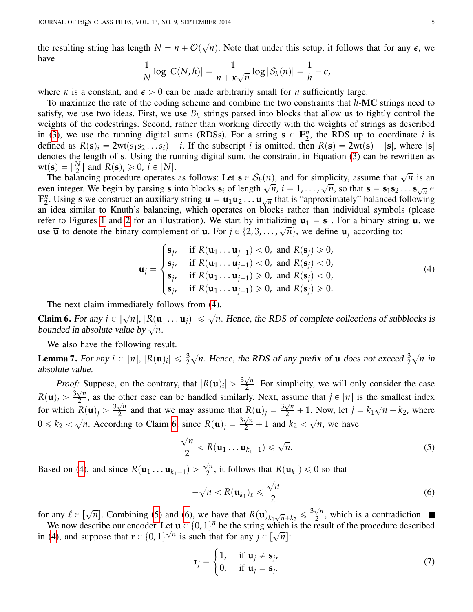the resulting string has length  $N = n + \mathcal{O}(\sqrt{n})$  $\overline{n}$ ). Note that under this setup, it follows that for any  $\epsilon$ , we have

$$
\frac{1}{N}\log|C(N,h)|=\frac{1}{n+\kappa\sqrt{n}}\log|\mathcal{S}_h(n)|=\frac{1}{h}-\epsilon,
$$

where  $\kappa$  is a constant, and  $\epsilon > 0$  can be made arbitrarily small for *n* sufficiently large.

To maximize the rate of the coding scheme and combine the two constraints that *h*-MC strings need to satisfy, we use two ideas. First, we use  $B_h$  strings parsed into blocks that allow us to tightly control the weights of the codestrings. Second, rather than working directly with the weights of strings as described in [\(3\)](#page-3-1), we use the running digital sums (RDSs). For a string  $s \in \mathbb{F}_2^n$  $n<sub>2</sub>$ , the RDS up to coordinate *i* is defined as  $R(s)$ <sub>i</sub> = 2wt $(s_1 s_2 \dots s_i) - i$ . If the subscript *i* is omitted, then  $R(s) = 2wt(s) - |s|$ , where  $|s|$ denotes the length of **s**. Using the running digital sum, the constraint in Equation [\(3\)](#page-3-1) can be rewritten as  $\text{wt}(\mathbf{s}) = \left[\frac{N}{2}\right]$  $\left[\frac{N}{2}\right]$  and  $R(\mathbf{s})_i \geq 0$ ,  $i \in [N]$ .

The balancing procedure operates as follows: Let  $s \in S_h(n)$ , and for simplicity, assume that  $\sqrt{n}$  is an Fire balancing procedure operates as follows. Let  $\mathbf{s} \in \mathcal{O}_h(n)$ , and for simplicity, assume that  $\sqrt{n}$  is an even integer. We begin by parsing **s** into blocks  $\mathbf{s}_i$  of length  $\sqrt{n}$ ,  $i = 1, ..., \sqrt{n}$ , so that  $\mathbf{s} =$  $\mathbb{F}_2^n$ <sup>n</sup><sub>2</sub>. Using **s** we construct an auxiliary string  $\mathbf{u} = \mathbf{u}_1 \mathbf{u}_2 \dots \mathbf{u}_{\sqrt{n}}$  that is "approximately" balanced following an idea similar to Knuth's balancing, which operates on blocks rather than individual symbols (please refer to Figures [1](#page-5-0) and [2](#page-6-0) for an illustration). We start by initializing  $\mathbf{u}_1 = \mathbf{s}_1$ . For a binary string **u**, we ieter to Figures 1 and 2 for an inustration). We start by initializing  $u_1 = s_1$ . For a binary strill<br>use  $\overline{u}$  to denote the binary complement of **u**. For  $j \in \{2, 3, ..., \sqrt{n}\}$ , we define  $u_j$  according to: \$

<span id="page-4-0"></span>
$$
\mathbf{u}_{j} = \begin{cases}\n\mathbf{s}_{j}, & \text{if } R(\mathbf{u}_{1} \dots \mathbf{u}_{j-1}) < 0, \text{ and } R(\mathbf{s}_{j}) \ge 0, \\
\overline{\mathbf{s}}_{j}, & \text{if } R(\mathbf{u}_{1} \dots \mathbf{u}_{j-1}) < 0, \text{ and } R(\mathbf{s}_{j}) < 0, \\
\mathbf{s}_{j}, & \text{if } R(\mathbf{u}_{1} \dots \mathbf{u}_{j-1}) \ge 0, \text{ and } R(\mathbf{s}_{j}) < 0, \\
\overline{\mathbf{s}}_{j}, & \text{if } R(\mathbf{u}_{1} \dots \mathbf{u}_{j-1}) \ge 0, \text{ and } R(\mathbf{s}_{j}) \ge 0.\n\end{cases} \tag{4}
$$

The next claim immediately follows from [\(4\)](#page-4-0).

<span id="page-4-1"></span>**Claim 6.** For any  $j \in [\sqrt{n}]$ ,  $|R(\mathbf{u}_1 ... \mathbf{u}_j)| \leq \sqrt{n}$ . Hence, the RDS of complete collections of subblocks is **claim 6.** For any  $f \in [\sqrt{n}]$ ,  $[x(\mathbf{u})]$ <br>bounded in absolute value by  $\sqrt{n}$ .

We also have the following result.

**Lemma 7.** For any  $i \in [n]$ ,  $|R(\mathbf{u})_i| \leq \frac{3}{2}$  $\sqrt{n}$ . Hence, the RDS of any prefix of **u** does not exceed  $\frac{3}{2}$ ? *n* in absolute value.

*Proof:* Suppose, on the contrary, that  $|R(\mathbf{u})_i| > \frac{3\sqrt{n}}{2}$  $\therefore$  Suppose, on the contrary, that  $|R(\mathbf{u})_i| > \frac{3\sqrt{n}}{2}$ . For simplicity, we will only consider the case  $R(\mathbf{u})_i > \frac{3\sqrt{n}}{2}$  $\frac{\sqrt{n}}{2}$ , as the other case can be handled similarly. Next, assume that  $j \in [n]$  is the smallest index for which  $R(\mathbf{u})_j > \frac{3\sqrt{n}}{2}$  $\frac{\sqrt{n}}{2}$  and that we may assume that  $R(\mathbf{u})_j = \frac{3\sqrt{n}}{2} + 1$ . Now, let  $j = k_1$ ?  $\overline{n}$  +  $k_2$ , where  $0 \leq k_2 <$  $\overline{\phantom{a}}$  $\frac{1}{2}$  and that we may assume that  $P(\mathbf{x})_j = \frac{2}{2}$  $^{\circ}$ *n*, we have

<span id="page-4-4"></span>
$$
\frac{\sqrt{n}}{2} < R(\mathbf{u}_1 \dots \mathbf{u}_{k_1-1}) \leqslant \sqrt{n}.\tag{5}
$$

Based on [\(4\)](#page-4-0), and since  $R(\mathbf{u}_1 \dots \mathbf{u}_{k_1-1})$  $\sqrt{n}$  $\frac{\pi}{2}$ , it follows that  $R(\mathbf{u}_{k_1}) \leq 0$  so that

<span id="page-4-3"></span><span id="page-4-2"></span>
$$
-\sqrt{n} < R(\mathbf{u}_{k_1})_\ell \leqslant \frac{\sqrt{n}}{2} \tag{6}
$$

for any  $\ell \in [\sqrt{n}]$ . Combining [\(5\)](#page-4-2) and [\(6\)](#page-4-3), we have that  $R(\mathbf{u})_{k_1\sqrt{n}+k_2} \leq \frac{3\sqrt{n}}{2}$  $\frac{\sqrt{n}}{2}$ , which is a contradiction.

We now describe our encoder. Let  $\mathbf{u} \in \{0, 1\}^n$  be the string which is the result of the procedure described in [\(4\)](#page-4-0), and suppose that  $\mathbf{r} \in \{0, 1\}^{\sqrt{n}}$  is such that for any  $j \in [\sqrt{n}]$ :

$$
\mathbf{r}_{j} = \begin{cases} 1, & \text{if } \mathbf{u}_{j} \neq \mathbf{s}_{j}, \\ 0, & \text{if } \mathbf{u}_{j} = \mathbf{s}_{j}. \end{cases}
$$
(7)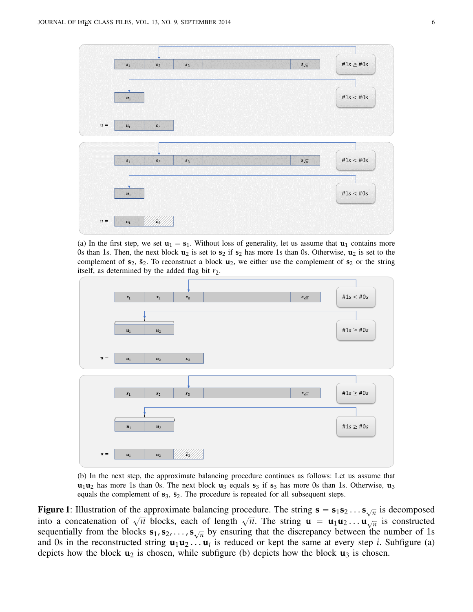<span id="page-5-0"></span>

(a) In the first step, we set  $\mathbf{u}_1 = \mathbf{s}_1$ . Without loss of generality, let us assume that  $\mathbf{u}_1$  contains more 0s than 1s. Then, the next block  $\mathbf{u}_2$  is set to  $\mathbf{s}_2$  if  $\mathbf{s}_2$  has more 1s than 0s. Otherwise,  $\mathbf{u}_2$  is set to the complement of  $s_2$ ,  $\bar{s}_2$ . To reconstruct a block  $\mathbf{u}_2$ , we either use the complement of  $s_2$  or the string itself, as determined by the added flag bit  $r_2$ .



(b) In the next step, the approximate balancing procedure continues as follows: Let us assume that  $u_1u_2$  has more 1s than 0s. The next block  $u_3$  equals  $s_3$  if  $s_3$  has more 0s than 1s. Otherwise,  $u_3$ equals the complement of  $s_3$ ,  $\bar{s}_2$ . The procedure is repeated for all subsequent steps.

**Figure 1**: Illustration of the approximate balancing procedure. The string  $\mathbf{s} = \mathbf{s}_1 \mathbf{s}_2 \dots \mathbf{s}_{\sqrt{n}}$  is decomposed into a concatenation of  $\sqrt{n}$  blocks, each of length  $\sqrt{n}$ . The string  $\mathbf{u} = \mathbf{u}_1 \mathbf{u}_2 ... \mathbf{u}_{\sqrt{n}}$  is constructed sequentially from the blocks  $s_1, s_2, \ldots, s_{\sqrt{n}}$  by ensuring that the discrepancy between the number of 1s and 0s in the reconstructed string  $\mathbf{u}_1 \mathbf{u}_2 \dots \mathbf{u}_i$  is reduced or kept the same at every step *i*. Subfigure (a) depicts how the block  $\mathbf{u}_2$  is chosen, while subfigure (b) depicts how the block  $\mathbf{u}_3$  is chosen.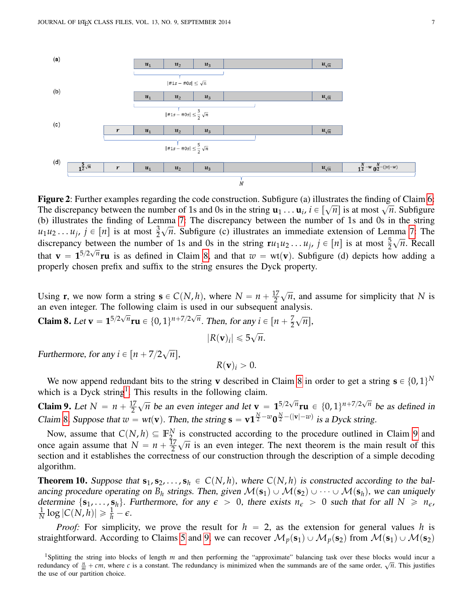<span id="page-6-0"></span>

Figure 2: Further examples regarding the code construction. Subfigure (a) illustrates the finding of Claim [6:](#page-4-1) The discrepancy between the number of 1s and 0s in the string  $\mathbf{u}_1 \dots \mathbf{u}_i$ ,  $i \in [\sqrt{n}]$  is at most  $\sqrt{n}$ . Subfigure (b) illustrates the finding of Lemma [7:](#page-4-4) The discrepancy between the number of 1s and 0s in the string  $u_1u_2 \ldots u_j$ ,  $j \in [n]$  is at most  $\frac{3}{2}$  $\mathbb{H}$ *n*. Subfigure (c) illustrates an immediate extension of Lemma [7:](#page-4-4) The discrepancy between the number of 1s and 0s in the string  $\mathbf{r}u_1u_2 \ldots u_j$ ,  $j \in [n]$  is at most  $\frac{5}{2}$  $\mathbf{r}$ *n*. Recall that  $\mathbf{v} = \mathbf{1}^{5/2\sqrt{n}} \mathbf{r} \mathbf{u}$  is as defined in Claim [8,](#page-6-1) and that  $w = \text{wt}(\mathbf{v})$ . Subfigure (d) depicts how adding a properly chosen prefix and suffix to the string ensures the Dyck property.

Using **r**, we now form a string  $\mathbf{s} \in C(N, h)$ , where  $N = n + \frac{17}{2}$ 2  $\overline{\phantom{a}}$ *n*, and assume for simplicity that *N* is an even integer. The following claim is used in our subsequent analysis.

<span id="page-6-1"></span>**Claim 8.** Let **v** =  $1^{5/2\sqrt{n}}$ **ru**  $\in \{0, 1\}^{n+7/2\sqrt{n}}$ . Then, for any  $i \in [n + \frac{7}{2}]$ 2  $\ddot{\phantom{0}}$ *n*],

$$
|R(\mathbf{v})_i| \leq 5\sqrt{n}.
$$

Furthermore, for any  $i \in [n + 7/2]$  $\overline{\phantom{a}}$ *n*],

$$
R(\mathbf{v})_i>0.
$$

We now append redundant bits to the string **v** described in Claim [8](#page-6-1) in order to get a string  $\mathbf{s} \in \{0, 1\}^N$ which is a Dyck string<sup>[1](#page-6-2)</sup>. This results in the following claim.

<span id="page-6-3"></span>**Claim 9.** Let  $N = n + \frac{17}{2}$ 2 ?  $\overline{n}$  be an even integer and let **v** =  $1^{5/2\sqrt{n}}$ **ru**  $\in \{0, 1\}^{n+7/2\sqrt{n}}$  be as defined in Claim [8](#page-6-1). Suppose that  $\overline{w} = wt(v)$ . Then, the string  $\mathbf{s} = \mathbf{v} \mathbf{1}^{\frac{N}{2} - w} \mathbf{0}^{\frac{N}{2} - (|\mathbf{v}| - w)}$  is a Dyck string.

Now, assume that  $C(N, h) \subseteq \mathbb{F}_2^N$  $\frac{N}{27}$  is constructed according to the procedure outlined in Claim [9](#page-6-3) and once again assume that  $N = n + \frac{17}{2}$ 2  $\frac{15}{1}$  $\overline{n}$  is an even integer. The next theorem is the main result of this section and it establishes the correctness of our construction through the description of a simple decoding algorithm.

<span id="page-6-4"></span>**Theorem 10.** Suppose that  $\mathbf{s}_1, \mathbf{s}_2, \ldots, \mathbf{s}_h \in C(N, h)$ , where  $C(N, h)$  is constructed according to the balancing procedure operating on  $B_h$  strings. Then, given  $\mathcal{M}(s_1) \cup \mathcal{M}(s_2) \cup \cdots \cup \mathcal{M}(s_h)$ , we can uniquely determine  $\{s_1, \ldots, s_h\}$ . Furthermore, for any  $\epsilon > 0$ , there exists  $n_{\epsilon} > 0$  such that for all  $N \ge n_{\epsilon}$ , 1  $\frac{1}{N} \log |C(N, h)| \geq \frac{1}{h} - \epsilon.$ 

*Proof:* For simplicity, we prove the result for  $h = 2$ , as the extension for general values h is straightforward. According to Claims [5](#page-3-2) and [9,](#page-6-3) we can recover  $\mathcal{M}_p(\mathbf{s}_1) \cup \mathcal{M}_p(\mathbf{s}_2)$  from  $\mathcal{M}(\mathbf{s}_1) \cup \mathcal{M}(\mathbf{s}_2)$ 

<span id="page-6-2"></span><sup>1</sup>Splitting the string into blocks of length *m* and then performing the "approximate" balancing task over these blocks would incur a redundancy of  $\frac{n}{m} + cm$ , where *c* is a constant. The redundancy is minimized when the summands are of the same order,  $\sqrt{n}$ . This justifies the use of our partition choice.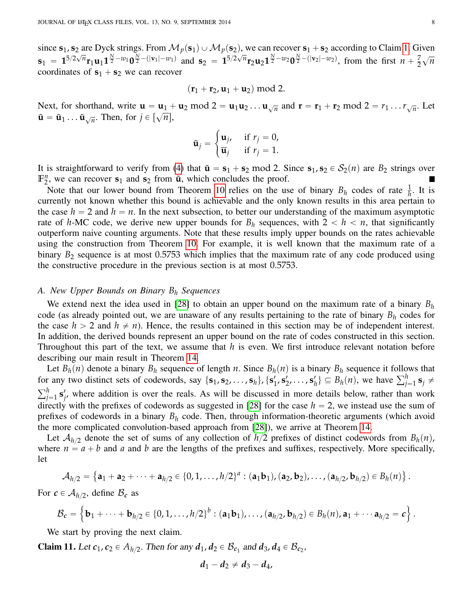since  $s_1$ ,  $s_2$  are Dyck strings. From  $\mathcal{M}_p(s_1) \cup \mathcal{M}_p(s_2)$ , we can recover  $s_1 + s_2$  according to Claim [1.](#page-2-1) Given  $s_1 = 1^{5/2\sqrt{n}} r_1 u_1 1^{\frac{N}{2} - w_1} 0^{\frac{N}{2} - (|v_1| - w_1)}$  and  $s_2 = 1^{5/2\sqrt{n}} r_2 u_2 1^{\frac{N}{2} - w_2} 0^{\frac{N}{2} - (|v_2| - w_2)}$ , from the first  $n + \frac{7}{2}$ 2 ? *n* coordinates of  $s_1 + s_2$  we can recover

$$
(\mathbf{r}_1+\mathbf{r}_2,\mathbf{u}_1+\mathbf{u}_2) \bmod 2.
$$

Next, for shorthand, write  $\mathbf{u} = \mathbf{u}_1 + \mathbf{u}_2 \mod 2 = \mathbf{u}_1 \mathbf{u}_2 \dots \mathbf{u}_{\sqrt{n}}$  and  $\mathbf{r} = \mathbf{r}_1 + \mathbf{r}_2 \mod 2 = r_1 \dots r_{\sqrt{n}}$ . Let  $\tilde{\mathbf{u}} = \tilde{\mathbf{u}}_1 \dots \tilde{\mathbf{u}}_{\sqrt{n}}$ . Then, for  $j \in [\sqrt{n}]$ , #

$$
\tilde{\mathbf{u}}_j = \begin{cases} \mathbf{u}_j, & \text{if } r_j = 0, \\ \overline{\mathbf{u}}_j & \text{if } r_j = 1. \end{cases}
$$

It is straightforward to verify from [\(4\)](#page-4-0) that  $\tilde{\mathbf{u}} = \mathbf{s}_1 + \mathbf{s}_2 \text{ mod } 2$ . Since  $\mathbf{s}_1, \mathbf{s}_2 \in \mathcal{S}_2(n)$  are  $B_2$  strings over  $\mathbb{F}_2^n$  $n_2$ , we can recover  $s_1$  and  $s_2$  from  $\tilde{u}$ , which concludes the proof.

Note that our lower bound from Theorem [10](#page-6-4) relies on the use of binary  $B_h$  codes of rate  $\frac{1}{h}$ . It is currently not known whether this bound is achievable and the only known results in this area pertain to the case  $h = 2$  and  $h = n$ . In the next subsection, to better our understanding of the maximum asymptotic rate of *h*-MC code, we derive new upper bounds for  $B_h$  sequences, with  $2 < h < n$ , that significantly outperform naive counting arguments. Note that these results imply upper bounds on the rates achievable using the construction from Theorem [10.](#page-6-4) For example, it is well known that the maximum rate of a binary  $B_2$  sequence is at most 0.5753 which implies that the maximum rate of any code produced using the constructive procedure in the previous section is at most 0.5753.

# *A. New Upper Bounds on Binary B<sup>h</sup> Sequences*

We extend next the idea used in [\[28\]](#page-23-6) to obtain an upper bound on the maximum rate of a binary *B<sup>h</sup>* code (as already pointed out, we are unaware of any results pertaining to the rate of binary *B<sup>h</sup>* codes for the case  $h > 2$  and  $h \neq n$ ). Hence, the results contained in this section may be of independent interest. In addition, the derived bounds represent an upper bound on the rate of codes constructed in this section. Throughout this part of the text, we assume that *h* is even. We first introduce relevant notation before describing our main result in Theorem [14.](#page-9-0)

Let  $B_h(n)$  denote a binary  $B_h$  sequence of length *n*. Since  $B_h(n)$  is a binary  $B_h$  sequence it follows that for any two distinct sets of codewords, say  $\{\mathbf{s}_1, \mathbf{s}_2, \dots, \mathbf{s}_h\}$ ,  $\{\mathbf{s}'_1$  $'_{1}$ , **s**'<sub>2</sub>, . . . , **s**'<sub>l</sub> Let  $B_h(n)$  denote a binary  $B_h$  sequence of length *n*. Since  $B_h(n)$  is a binary  $B_h$  sequence it follows that for any two distinct sets of codewords, say  $\{s_1, s_2, ..., s_h\}, \{s'_1, s'_2, ..., s'_h\} \subseteq B_h(n)$ , we have  $\sum_{j=1}^h s_j \neq \sum$  $j=1$   $\mathbf{s}'_j$  $'_{j'}$  where addition is over the reals. As will be discussed in more details below, rather than work directly with the prefixes of codewords as suggested in [\[28\]](#page-23-6) for the case  $h = 2$ , we instead use the sum of prefixes of codewords in a binary *B<sup>h</sup>* code. Then, through information-theoretic arguments (which avoid the more complicated convolution-based approach from [\[28\]](#page-23-6)), we arrive at Theorem [14.](#page-9-0)

Let  $A_{h/2}$  denote the set of sums of any collection of  $h/2$  prefixes of distinct codewords from  $B_h(n)$ , where  $n = a + b$  and *a* and *b* are the lengths of the prefixes and suffixes, respectively. More specifically, let i. (

$$
\mathcal{A}_{h/2} = \{ \mathbf{a}_1 + \mathbf{a}_2 + \cdots + \mathbf{a}_{h/2} \in \{0, 1, \ldots, h/2\}^a : (\mathbf{a}_1 \mathbf{b}_1), (\mathbf{a}_2, \mathbf{b}_2), \ldots, (\mathbf{a}_{h/2}, \mathbf{b}_{h/2}) \in B_h(n) \}
$$

For  $c \in A_{h/2}$ , define  $B_c$  as !<br>.

$$
\mathcal{B}_{c} = \left\{ \mathbf{b}_{1} + \cdots + \mathbf{b}_{h/2} \in \{0, 1, ..., h/2\}^{b} : (\mathbf{a}_{1} \mathbf{b}_{1}), ..., (\mathbf{a}_{h/2}, \mathbf{b}_{h/2}) \in B_{h}(n), \mathbf{a}_{1} + \cdots \mathbf{a}_{h/2} = c \right\}.
$$

We start by proving the next claim.

<span id="page-7-0"></span>**Claim 11.** Let  $c_1$ ,  $c_2 \in A_{h/2}$ . Then for any  $d_1$ ,  $d_2 \in B_{c_1}$  and  $d_3$ ,  $d_4 \in B_{c_2}$ ,

$$
d_1-d_2\neq d_3-d_4,
$$

.

 $\mathbf{r}$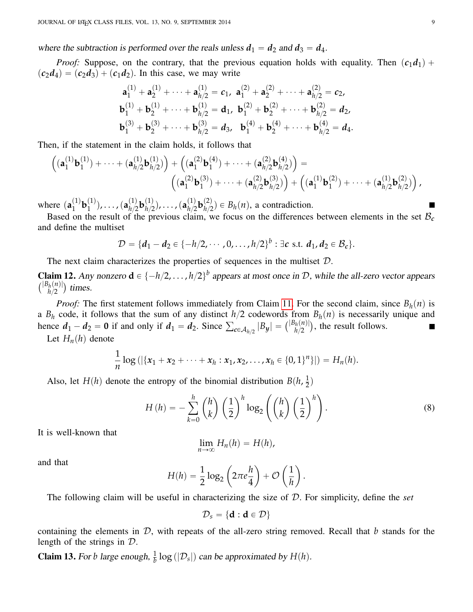where the subtraction is performed over the reals unless  $d_1 = d_2$  and  $d_3 = d_4$ .

*Proof:* Suppose, on the contrary, that the previous equation holds with equality. Then  $(c_1d_1)$  +  $(c_2d_4) = (c_2d_3) + (c_1d_2)$ . In this case, we may write

$$
\mathbf{a}_1^{(1)} + \mathbf{a}_2^{(1)} + \cdots + \mathbf{a}_{h/2}^{(1)} = c_1, \ \mathbf{a}_1^{(2)} + \mathbf{a}_2^{(2)} + \cdots + \mathbf{a}_{h/2}^{(2)} = c_2, \n\mathbf{b}_1^{(1)} + \mathbf{b}_2^{(1)} + \cdots + \mathbf{b}_{h/2}^{(1)} = \mathbf{d}_1, \ \mathbf{b}_1^{(2)} + \mathbf{b}_2^{(2)} + \cdots + \mathbf{b}_{h/2}^{(2)} = \mathbf{d}_2, \n\mathbf{b}_1^{(3)} + \mathbf{b}_2^{(3)} + \cdots + \mathbf{b}_{h/2}^{(3)} = \mathbf{d}_3, \ \mathbf{b}_1^{(4)} + \mathbf{b}_2^{(4)} + \cdots + \mathbf{b}_{h/2}^{(4)} = \mathbf{d}_4.
$$

Then, if the statement in the claim holds, it follows that

$$
\left( (\mathbf{a}_1^{(1)} \mathbf{b}_1^{(1)}) + \cdots + (\mathbf{a}_{h/2}^{(1)} \mathbf{b}_{h/2}^{(1)}) \right) + \left( (\mathbf{a}_1^{(2)} \mathbf{b}_1^{(4)}) + \cdots + (\mathbf{a}_{h/2}^{(2)} \mathbf{b}_{h/2}^{(4)}) \right) = \\ \left( (\mathbf{a}_1^{(2)} \mathbf{b}_1^{(3)}) + \cdots + (\mathbf{a}_{h/2}^{(2)} \mathbf{b}_{h/2}^{(3)}) \right) + \left( (\mathbf{a}_1^{(1)} \mathbf{b}_1^{(2)}) + \cdots + (\mathbf{a}_{h/2}^{(1)} \mathbf{b}_{h/2}^{(2)}) \right),
$$

where  $(a_1^{(1)}$  $\mathbf{b}_1^{(1)}\mathbf{b}_1^{(1)}$  $\binom{(1)}{1}$ ,  $\dots$  ,  $\bigl(\mathbf{a}_{h/2}^{(1)}\bigr)$  $\binom{(1)}{h/2}$ **b** $\binom{(1)}{h/2}$  $\binom{1}{h/2}$ ,  $\dots$  ,  $\binom{a\binom{1}{h/2}}{h/2}$  $\binom{(1)}{h/2}$ **b** $\binom{(2)}{h/2}$  $B_h^{(2)}$   $\in B_h(n)$ , a contradiction.

Based on the result of the previous claim, we focus on the differences between elements in the set  $B_c$ and define the multiset

$$
\mathcal{D} = \{d_1 - d_2 \in \{-h/2, \cdots, 0, \ldots, h/2\}^b : \exists c \text{ s.t. } d_1, d_2 \in \mathcal{B}_c\}.
$$

The next claim characterizes the properties of sequences in the multiset  $D$ .

<span id="page-8-1"></span>**Claim 12.** Any nonzero  $\mathbf{d} \in \{-h/2, \ldots, h/2\}^b$  appears at most once in D, while the all-zero vector appears  $\frac{C}{|B_h(n)|}$  $\binom{h(n)}{h/2}$  times.

*Proof:* The first statement follows immediately from Claim [11.](#page-7-0) For the second claim, since  $B_h(n)$  is a  $B_h$  code, it follows that the sum of any distinct  $h/2$  codewords from  $B_h(n)$  is necessarily unique and a  $B_h$  code, it follows that the sum of any distinct  $h/2$  codewords from<br>hence  $d_1 - d_2 = 0$  if and only if  $d_1 = d_2$ . Since  $\sum_{c \in A_{h/2}} |B_y| = { |B_h(n)| \choose h/2}$  $h_{n/2}^{(n)}(h)$ , the result follows.

Let  $H_n(h)$  denote

$$
\frac{1}{n}\log\left(\left|\{x_1+x_2+\cdots+x_h:x_1,x_2,\ldots,x_h\in\{0,1\}^n\}\right|\right)=H_n(h).
$$

Also, let *H*(*h*) denote the entropy of the binomial distribution  $B(h, \frac{1}{2})$  $\frac{1}{2}$ 

$$
H(h) = -\sum_{k=0}^{h} {h \choose k} \left(\frac{1}{2}\right)^h \log_2 \left({h \choose k} \left(\frac{1}{2}\right)^h\right).
$$
 (8)

ˆ

<span id="page-8-0"></span>˙

It is well-known that

$$
\lim_{n\to\infty}H_n(h)=H(h),
$$

˙

and that

$$
H(h) = \frac{1}{2}\log_2\left(2\pi e \frac{h}{4}\right) + \mathcal{O}\left(\frac{1}{h}\right).
$$

The following claim will be useful in characterizing the size of D. For simplicity, define the *set*

ˆ

$$
\mathcal{D}_s = \{d: d \in \mathcal{D}\}
$$

containing the elements in D, with repeats of the all-zero string removed. Recall that *b* stands for the length of the strings in D.

**Claim 13.** For *b* large enough,  $\frac{1}{b} \log(|\mathcal{D}_s|)$  can be approximated by  $H(h)$ .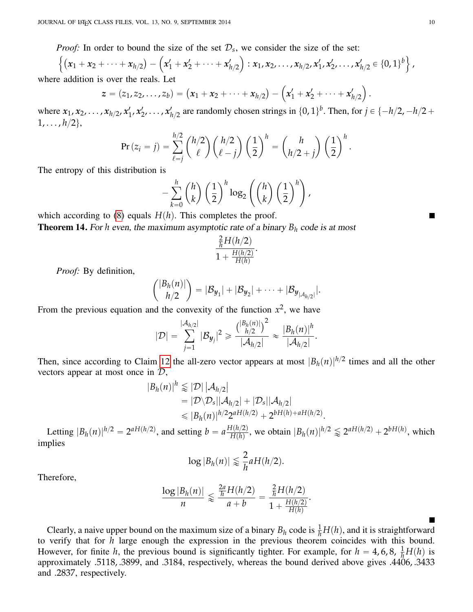*Proof:* In order to bound the size of the set  $\mathcal{D}_s$ , we consider the size of the set:

*Proof:* In order to bound the size of the set 
$$
D_s
$$
, we consider the size of the set:  $\left\{ (x_1 + x_2 + \cdots + x_{h/2}) - \left( x_1' + x_2' + \cdots + x_{h/2}' \right) : x_1, x_2, \ldots, x_{h/2}, x_1', x_2', \ldots, x_{h/2}' \in \{0, 1\}^b \right\}$ , addition is over the reals. Let

where addition is over the reals. Let

$$
z = (z_1, z_2, \ldots, z_b) = (x_1 + x_2 + \cdots + x_{h/2}) - (x'_1 + x'_2 + \cdots + x'_{h/2}).
$$

where  $x_1, x_2, \ldots, x_{h/2}, x_1'$  $x'_1, x'_2, \ldots, x'_k$  $h_{1/2}$  are randomly chosen strings in  $\{0, 1\}^b$ . Then, for  $j \in \{-h/2, -h/2 + h/2\}$  $1, \ldots, h/2\},\$ 

$$
\Pr(z_i = j) = \sum_{\ell=j}^{h/2} {h/2 \choose \ell} {h/2 \choose \ell-j} \left(\frac{1}{2}\right)^h = {h \choose h/2+j} \left(\frac{1}{2}\right)^h.
$$

The entropy of this distribution is

$$
-\sum_{k=0}^h {h \choose k} \left(\frac{1}{2}\right)^h \log_2 \left({h \choose k} \left(\frac{1}{2}\right)^h\right),
$$

¸

<span id="page-9-0"></span>which according to  $(8)$  equals  $H(h)$ . This completes the proof. **Theorem 14.** For *h* even, the maximum asymptotic rate of a binary  $B_h$  code is at most

$$
\frac{\frac{2}{h}H(h/2)}{1+\frac{H(h/2)}{H(h)}}
$$

.

*Proof:* By definition,

$$
{|B_h(n)| \choose h/2} = |\mathcal{B}_{y_1}| + |\mathcal{B}_{y_2}| + \cdots + |\mathcal{B}_{y_{|\mathcal{A}_{h/2}|}}|.
$$

From the previous equation and the convexity of the function  $x^2$ , we have

˙

ˆ

$$
|\mathcal{D}| = \sum_{j=1}^{|\mathcal{A}_{h/2}|} |\mathcal{B}_{\mathbf{y}_j}|^2 \geq \frac{\binom{|B_h(n)|}{h/2}}{|\mathcal{A}_{h/2}|} \approx \frac{|B_h(n)|^h}{|\mathcal{A}_{h/2}|}.
$$

Then, since according to Claim [12](#page-8-1) the all-zero vector appears at most  $|B_h(n)|^{h/2}$  times and all the other vectors appear at most once in  $\mathcal{D}$ ,

$$
|B_h(n)|^h \lessapprox |\mathcal{D}| |\mathcal{A}_{h/2}|
$$
  
=  $|\mathcal{D}\setminus\mathcal{D}_s||\mathcal{A}_{h/2}| + |\mathcal{D}_s||\mathcal{A}_{h/2}|$   
 $\leq |B_h(n)|^{h/2} 2^{aH(h/2)} + 2^{bH(h)+aH(h/2)}.$ 

Letting  $|B_h(n)|^{h/2} = 2^{aH(h/2)}$ , and setting  $b = a \frac{H(h/2)}{H(h)}$  $\frac{H(h/2)}{H(h)}$ , we obtain  $|B_h(n)|^{h/2} \le 2^{aH(h/2)} + 2^{bH(h)}$ , which implies

$$
\log|B_h(n)| \lessapprox \frac{2}{h} a H(h/2).
$$

Therefore,

$$
\frac{\log |B_h(n)|}{n} \leqslant \frac{\frac{2a}{h}H(h/2)}{a+b} = \frac{\frac{2}{h}H(h/2)}{1+\frac{H(h/2)}{H(h)}}.
$$

Clearly, a naive upper bound on the maximum size of a binary  $B_h$  code is  $\frac{1}{h}H(h)$ , and it is straightforward to verify that for *h* large enough the expression in the previous theorem coincides with this bound. However, for finite *h*, the previous bound is significantly tighter. For example, for  $h = 4, 6, 8, \frac{1}{h}H(h)$  is approximately .5118, .3899, and .3184, respectively, whereas the bound derived above gives .4406, .3433 and .2837, respectively.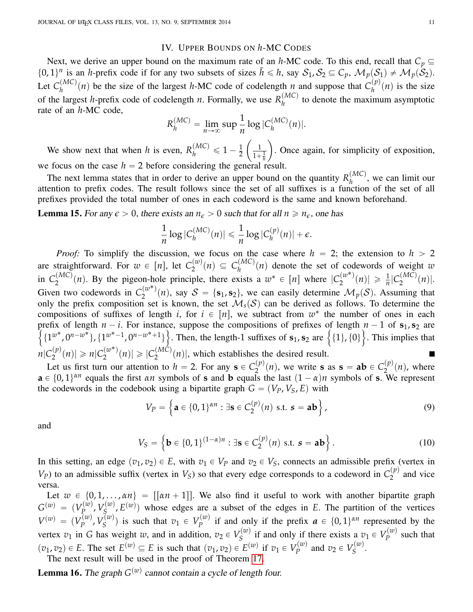# IV. UPPER BOUNDS ON *h*-MC CODES

<span id="page-10-0"></span>Next, we derive an upper bound on the maximum rate of an *h*-MC code. To this end, recall that  $C_p \subseteq$  $\{0, 1\}^n$  is an *h*-prefix code if for any two subsets of sizes  $\bar{h} \leq h$ , say  $S_1$ ,  $S_2 \subseteq C_p$ ,  $\mathcal{M}_p(S_1) \neq \mathcal{M}_p(S_2)$ . Let  $C_h^{(MC)}$  $\binom{(MC)}{h}$  *(n)* be the size of the largest *h*-MC code of codelength *n* and suppose that  $C_h^{(p)}$  $h^{(p)}(n)$  is the size of the largest *h*-prefix code of codelength *n*. Formally, we use  $R_h^{(MC)}$  $h_h^{(MC)}$  to denote the maximum asymptotic rate of an *h*-MC code,

$$
R_h^{(MC)} = \lim_{n \to \infty} \sup \frac{1}{n} \log |C_h^{(MC)}(n)|.
$$

We show next that when *h* is even,  $R_h^{(MC)} \le 1 - \frac{1}{2}$ 2 1  $1 + \frac{1}{h}$ . Once again, for simplicity of exposition, we focus on the case  $h = 2$  before considering the general result.

The next lemma states that in order to derive an upper bound on the quantity  $R_h^{(MC)}$  $h^{(W1C)}$ , we can limit our attention to prefix codes. The result follows since the set of all suffixes is a function of the set of all prefixes provided the total number of ones in each codeword is the same and known beforehand.

<span id="page-10-1"></span>**Lemma 15.** For any  $\epsilon > 0$ , there exists an  $n_{\epsilon} > 0$  such that for all  $n \ge n_{\epsilon}$ , one has

$$
\frac{1}{n}\log|C_h^{(MC)}(n)| \leq \frac{1}{n}\log|C_h^{(p)}(n)| + \epsilon.
$$

*Proof:* To simplify the discussion, we focus on the case where  $h = 2$ ; the extension to  $h > 2$ are straightforward. For  $w \in [n]$ , let  $C_2^{(w)}$  $C_2^{(w)}(n) \subseteq C_h^{(MC)}$  $h_h^{(MC)}(n)$  denote the set of codewords of weight *w* in  $C_2^{(MC)}$  $p_2^{(MC)}(n)$ . By the pigeon-hole principle, there exists a  $w^* \in [n]$  where  $|C_2^{(w^*)}\rangle$  $\binom{(w^*)}{2}(n) \geq \frac{1}{n} \binom{C(MC)}{2}$  $2^{(MC)}(n)|.$ Given two codewords in  $C_2^{(w^*)}$  $\mathcal{L}^{(w)}_2(n)$ , say  $\mathcal{S} = \{\mathbf{s}_1, \mathbf{s}_2\}$ , we can easily determine  $\mathcal{M}_p(\mathcal{S})$ . Assuming that only the prefix composition set is known, the set  $\mathcal{M}_s(S)$  can be derived as follows. To determine the compositions of suffixes of length *i*, for  $i \in [n]$ , we subtract from  $w^*$  the number of ones in each prefix of length  $n - i$ . For instance, suppose the compositions of prefixes of length  $n - 1$  of  $s_1, s_2$  are refix of length  $n - i$ . For instance, suppose the compositions of prefixes of length  $n - 1$  of  $s_1, s_2$  are  $\{1^{w^*}, 0^{n-w^*}\}, \{1^{w^*-1}, 0^{n-w^*+1}\}\}$ . Then, the length-1 suffixes of  $s_1, s_2$  are  $\{\{1\}, \{0\}\}$ . This impli  $n$ <sup>(*C*</sup><sub>2</sub><sup>*p*</sup>)  $\binom{p}{2}(n) \geq n \binom{w^*}{2}$  $|C_2^{(w^*)}(n)| \geqslant |C_2^{(MC)}|$  $\binom{1}{2}(n)$ , which establishes the desired result.

Let us first turn our attention to  $h = 2$ . For any  $\mathbf{s} \in C_2^{(p)}$  $\binom{p}{2}(n)$ , we write **s** as **s** = **ab**  $\in C_2^{(p)}$  $\sum_{n=1}^{(p)}(n)$ , where  $a \in \{0, 1\}^{\alpha n}$  equals the first  $\alpha n$  symbols of **s** and **b** equals the last  $(1 - \alpha)n$  symbols of **s**. We represent the codewords in the codebook using a bipartite graph  $G = (V_P, V_S, E)$  with

<span id="page-10-3"></span><span id="page-10-2"></span>
$$
V_P = \left\{ \mathbf{a} \in \{0,1\}^{\alpha n} : \exists \mathbf{s} \in C_2^{(p)}(n) \text{ s.t. } \mathbf{s} = \mathbf{a} \mathbf{b} \right\},\tag{9}
$$

and

$$
V_S = \left\{ \mathbf{b} \in \{0, 1\}^{(1-\alpha)n} : \exists \mathbf{s} \in C_2^{(p)}(n) \text{ s.t. } \mathbf{s} = \mathbf{a} \mathbf{b} \right\}.
$$
 (10)

In this setting, an edge  $(v_1, v_2) \in E$ , with  $v_1 \in V_P$  and  $v_2 \in V_S$ , connects an admissible prefix (vertex in  $V_P$ ) to an admissible suffix (vertex in  $V_S$ ) so that every edge corresponds to a codeword in  $C_2^{(p)}$  $2^{(\rho)}$  and vice versa.

Let  $w \in \{0, 1, \ldots, \alpha n\} = [[\alpha n + 1]]$ . We also find it useful to work with another bipartite graph  $G^{(w)} \; = \; (V_P^{(w)} \;$ *p*<sup>(*w*)</sup>,  $V^{(w)}_{S}$  $E_S^{(w)}$ ,  $E^{(w)}$ ) whose edges are a subset of the edges in *E*. The partition of the vertices  $V^{(w)} = (V_p^{(w)}$ *r*<sup>(*w*)</sup>,  $V_S^{(w)}$  $S^{(w)}$ ) is such that  $v_1 \in V_p^{(w)}$  $q_P^{(w)}$  if and only if the prefix  $a \in \{0, 1\}^{\alpha n}$  represented by the vertex  $v_1$  in *G* has weight *w*, and in addition,  $v_2 \in V_S^{(w)}$  $S^{(w)}$  if and only if there exists a  $v_1 \in V_p^{(w)}$  $P_P^{(\omega)}$  such that  $p(v_1, v_2) \in E$ . The set  $E^{(w)} \subseteq E$  is such that  $(v_1, v_2) \in E^{(w)}$  if  $v_1 \in V_p^{(w)}$  $v_P^{(w)}$  and  $v_2 \in V_S^{(w)}$ *S* .

The next result will be used in the proof of Theorem [17.](#page-11-0)

**Lemma 16.** The graph  $G^{(w)}$  cannot contain a cycle of length four.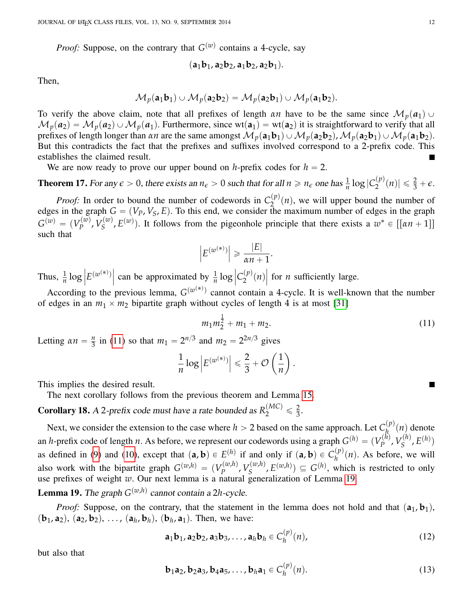*Proof:* Suppose, on the contrary that  $G^{(w)}$  contains a 4-cycle, say

$$
(\mathbf{a}_1\mathbf{b}_1,\mathbf{a}_2\mathbf{b}_2,\mathbf{a}_1\mathbf{b}_2,\mathbf{a}_2\mathbf{b}_1).
$$

Then,

$$
\mathcal{M}_p(\mathbf{a}_1\mathbf{b}_1) \cup \mathcal{M}_p(\mathbf{a}_2\mathbf{b}_2) = \mathcal{M}_p(\mathbf{a}_2\mathbf{b}_1) \cup \mathcal{M}_p(\mathbf{a}_1\mathbf{b}_2).
$$

To verify the above claim, note that all prefixes of length *αn* have to be the same since  $\mathcal{M}_p(a_1) \cup$  $\mathcal{M}_p(a_2) = \mathcal{M}_p(a_2) \cup \mathcal{M}_p(a_1)$ . Furthermore, since wt $(a_1) = \text{wt}(a_2)$  it is straightforward to verify that all prefixes of length longer than *αn* are the same amongst  $\mathcal{M}_p(\mathbf{a}_1\mathbf{b}_1) \cup \mathcal{M}_p(\mathbf{a}_2\mathbf{b}_2)$ ,  $\mathcal{M}_p(\mathbf{a}_2\mathbf{b}_1) \cup \mathcal{M}_p(\mathbf{a}_1\mathbf{b}_2)$ . But this contradicts the fact that the prefixes and suffixes involved correspond to a 2-prefix code. This establishes the claimed result.

We are now ready to prove our upper bound on *h*-prefix codes for  $h = 2$ .

<span id="page-11-0"></span>**Theorem 17.** For any  $\epsilon > 0$ , there exists an  $n_{\epsilon} > 0$  such that for all  $n \ge n_{\epsilon}$  one has  $\frac{1}{n} \log |C_2^{(p)}|$  $\vert p^{(p)}(n)\vert \leqslant \frac{2}{3} + \epsilon.$ 

*Proof:* In order to bound the number of codewords in  $C_2^{(p)}$  $\sum_{n=1}^{(p)}(n)$ , we will upper bound the number of edges in the graph  $G = (V_P, V_S, E)$ . To this end, we consider the maximum number of edges in the graph  $G^{(w)} = (V^{(w)}_p)$  $V^{(w)}_P$ ,  $V^{(w)}_S$  $S(S^{(w)}, E^{(w)})$ . It follows from the pigeonhole principle that there exists a  $w^* \in [[\alpha n + 1]]$ such that

$$
\left| E^{(w^{(*)})} \right| \geq \frac{|E|}{\alpha n + 1}
$$

.

Thus,  $\frac{1}{n} \log$  $E^{(w^{(*)})}$  $\int \tan b e$  approximated by  $\frac{1}{n} \log$  $|C_2^{(p)}\rangle$  $2^{(P)}(n)$ **T**<br>| for *n* sufficiently large.

According to the previous lemma,  $G^{(w^{(*)})}$  cannot contain a 4-cycle. It is well-known that the number of edges in an  $m_1 \times m_2$  bipartite graph without cycles of length 4 is at most [\[31\]](#page-23-8)

$$
m_1 m_2^{\frac{1}{2}} + m_1 + m_2. \tag{11}
$$

Letting  $\alpha n = \frac{n}{3}$  $\frac{n}{3}$  in [\(11\)](#page-11-1) so that  $m_1 = 2^{n/3}$  and  $m_2 = 2^{2n/3}$  gives ˆ

$$
\frac{1}{n}\log |E^{(w^{(*)})}| \leq \frac{2}{3} + \mathcal{O}\left(\frac{1}{n}\right).
$$

This implies the desired result.

The next corollary follows from the previous theorem and Lemma [15.](#page-10-1)

<span id="page-11-5"></span>**Corollary 18.** A 2-prefix code must have a rate bounded as  $R_2^{(MC)} \leq \frac{2}{3}$  $\frac{2}{3}$ .

Next, we consider the extension to the case where  $h > 2$  based on the same approach. Let  $C_h^{(p)}$  $h^{(P)}(n)$  denote an *h*-prefix code of length *n*. As before, we represent our codewords using a graph  $G^{(h)} = (V_p^{(h)}$  $V_P^{(h)}$ ,  $V_S^{(h)}$  $E^{(h)}$ ,  $E^{(h)}$ ) as defined in [\(9\)](#page-10-2) and [\(10\)](#page-10-3), except that  $(a, b) \in E^{(h)}$  if and only if  $(a, b) \in C_h^{(p)}(n)$ . As before, we will *h* also work with the bipartite graph  $G^{(w,h)} = (V_p^{(w,h)})$ *P*<sup>(*w*,*h*)</sup>,  $V_S^{(w,h)}$  $S^{(w,h)}$ ,  $E^{(w,h)}$ )  $\subseteq G^{(h)}$ , which is restricted to only use prefixes of weight *w*. Our next lemma is a natural generalization of Lemma [19.](#page-11-2)

<span id="page-11-2"></span>**Lemma 19.** The graph  $G^{(w,h)}$  cannot contain a 2*h*-cycle.

*Proof:* Suppose, on the contrary, that the statement in the lemma does not hold and that  $(a_1, b_1)$ ,  $(b_1, a_2)$ ,  $(a_2, b_2)$ , ...,  $(a_h, b_h)$ ,  $(b_h, a_1)$ . Then, we have:

$$
\mathbf{a}_1 \mathbf{b}_1, \mathbf{a}_2 \mathbf{b}_2, \mathbf{a}_3 \mathbf{b}_3, \dots, \mathbf{a}_h \mathbf{b}_h \in C_h^{(p)}(n), \tag{12}
$$

but also that

$$
\mathbf{b}_1 \mathbf{a}_2, \mathbf{b}_2 \mathbf{a}_3, \mathbf{b}_4 \mathbf{a}_5, \dots, \mathbf{b}_h \mathbf{a}_1 \in C_h^{(p)}(n). \tag{13}
$$

<span id="page-11-4"></span><span id="page-11-3"></span><span id="page-11-1"></span>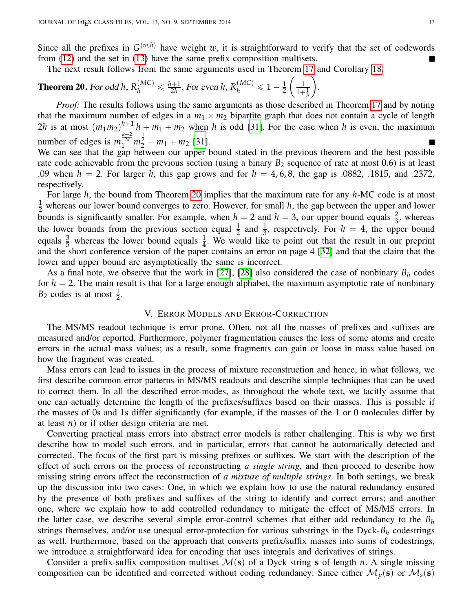Since all the prefixes in  $G^{(w,h)}$  have weight *w*, it is straightforward to verify that the set of codewords from [\(12\)](#page-11-3) and the set in [\(13\)](#page-11-4) have the same prefix composition multisets.

The next result follows from the same arguments used in Theorem [17](#page-11-0) and Corollary [18.](#page-11-5)

<span id="page-12-1"></span>**Theorem 20.** For odd h, 
$$
R_h^{(MC)} \leq \frac{h+1}{2h}
$$
. For even h,  $R_h^{(MC)} \leq 1 - \frac{1}{2} \left( \frac{1}{1 + \frac{1}{h}} \right)$ .

*Proof:* The results follows using the same arguments as those described in Theorem [17](#page-11-0) and by noting that the maximum number of edges in a  $m_1 \times m_2$  bipartite graph that does not contain a cycle of length 2*h* is at most  $(m_1 m_2)^{h+1} h + m_1 + m_2$  when *h* is odd [\[31\]](#page-23-8). For the case when *h* is even, the maximum number of edges is  $m_1^{\frac{k+2}{2k}} m_2^{\frac{1}{2}} + m_1 + m_2$  [\[31\]](#page-23-8).

We can see that the gap between our upper bound stated in the previous theorem and the best possible rate code achievable from the previous section (using a binary  $B_2$  sequence of rate at most 0.6) is at least .09 when  $h = 2$ . For larger h, this gap grows and for  $h = 4, 6, 8$ , the gap is .0882, .1815, and .2372, respectively.

For large *h*, the bound from Theorem [20](#page-12-1) implies that the maximum rate for any *h*-MC code is at most  $\frac{1}{2}$  whereas our lower bound converges to zero. However, for small *h*, the gap between the upper and lower bounds is significantly smaller. For example, when  $h = 2$  and  $h = 3$ , our upper bound equals  $\frac{2}{3}$ , whereas the lower bounds from the previous section equal  $\frac{1}{2}$  and  $\frac{1}{3}$ , respectively. For  $h = 4$ , the upper bound equals  $\frac{3}{5}$  whereas the lower bound equals  $\frac{1}{4}$ . We would like to point out that the result in our preprint and the short conference version of the paper contains an error on page 4 [\[32\]](#page-23-9) and that the claim that the lower and upper bound are asymptotically the same is incorrect.

As a final note, we observe that the work in [\[27\]](#page-23-10), [\[28\]](#page-23-6) also considered the case of nonbinary  $B_h$  codes for  $h = 2$ . The main result is that for a large enough alphabet, the maximum asymptotic rate of nonbinary  $B_2$  codes is at most  $\frac{1}{2}$ .

## V. ERROR MODELS AND ERROR-CORRECTION

<span id="page-12-0"></span>The MS/MS readout technique is error prone. Often, not all the masses of prefixes and suffixes are measured and/or reported. Furthermore, polymer fragmentation causes the loss of some atoms and create errors in the actual mass values; as a result, some fragments can gain or loose in mass value based on how the fragment was created.

Mass errors can lead to issues in the process of mixture reconstruction and hence, in what follows, we first describe common error patterns in MS/MS readouts and describe simple techniques that can be used to correct them. In all the described error-modes, as throughout the whole text, we tacitly assume that one can actually determine the length of the prefixes/suffixes based on their masses. This is possible if the masses of 0s and 1s differ significantly (for example, if the masses of the 1 or 0 molecules differ by at least *n*) or if other design criteria are met.

Converting practical mass errors into abstract error models is rather challenging. This is why we first describe how to model such errors, and in particular, errors that cannot be automatically detected and corrected. The focus of the first part is missing prefixes or suffixes. We start with the description of the effect of such errors on the process of reconstructing *a single string*, and then proceed to describe how missing string errors affect the reconstruction of *a mixture of multiple strings*. In both settings, we break up the discussion into two cases: One, in which we explain how to use the natural redundancy ensured by the presence of both prefixes and suffixes of the string to identify and correct errors; and another one, where we explain how to add controlled redundancy to mitigate the effect of MS/MS errors. In the latter case, we describe several simple error-control schemes that either add redundancy to the *B<sup>h</sup>* strings themselves, and/or use unequal error-protection for various substrings in the Dyck-*B<sup>h</sup>* codestrings as well. Furthermore, based on the approach that converts prefix/suffix masses into sums of codestrings, we introduce a straightforward idea for encoding that uses integrals and derivatives of strings.

Consider a prefix-suffix composition multiset  $\mathcal{M}(s)$  of a Dyck string **s** of length *n*. A single missing composition can be identified and corrected without coding redundancy: Since either  $\mathcal{M}_p(\mathbf{s})$  or  $\mathcal{M}_s(\mathbf{s})$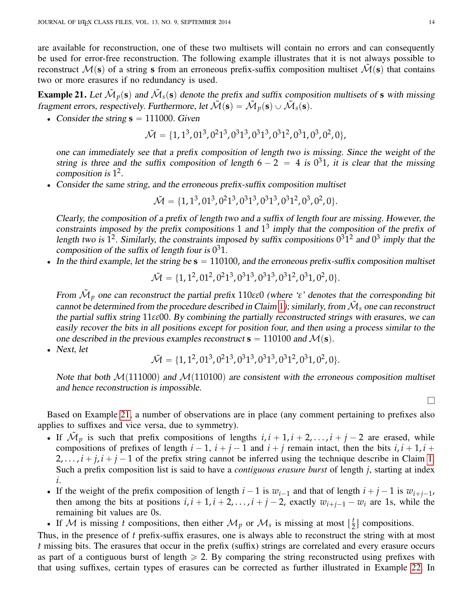are available for reconstruction, one of these two multisets will contain no errors and can consequently be used for error-free reconstruction. The following example illustrates that it is not always possible to reconstruct  $M(s)$  of a string **s** from an erroneous prefix-suffix composition multiset  $\tilde{M}(s)$  that contains two or more erasures if no redundancy is used.

<span id="page-13-0"></span>**Example 21.** Let  $\tilde{M}_p(\mathbf{s})$  and  $\tilde{M}_s(\mathbf{s})$  denote the prefix and suffix composition multisets of **s** with missing fragment errors, respectively. Furthermore, let  $\tilde{\mathcal{M}}(\mathbf{s}) = \tilde{\mathcal{M}}_p(\mathbf{s}) \cup \tilde{\mathcal{M}}_s(\mathbf{s})$ .

• Consider the string  $s = 111000$ . Given

$$
\tilde{\mathcal{M}} = \{1, 1^3, 01^3, 0^21^3, 0^31^3, 0^31^3, 0^31^2, 0^31, 0^3, 0^2, 0\},\
$$

one can immediately see that a prefix composition of length two is missing. Since the weight of the string is three and the suffix composition of length  $6 - 2 = 4$  is  $0<sup>3</sup>1$ , it is clear that the missing composition is  $1^2$ .

' Consider the same string, and the erroneous prefix-suffix composition multiset

$$
\tilde{\mathcal{M}} = \{1, 1^3, 01^3, 0^21^3, 0^31^3, 0^31^3, 0^31^2, 0^3, 0^2, 0\}.
$$

Clearly, the composition of a prefix of length two and a suffix of length four are missing. However, the constraints imposed by the prefix compositions 1 and  $1<sup>3</sup>$  imply that the composition of the prefix of length two is  $1^2$ . Similarly, the constraints imposed by suffix compositions  $0^31^2$  and  $0^3$  imply that the composition of the suffix of length four is  $0^31$ .

 $\bullet$  In the third example, let the string be  $\mathbf{s} = 110100$ , and the erroneous prefix-suffix composition multiset

$$
\tilde{\mathcal{M}} = \{1, 1^2, 01^2, 0^21^3, 0^31^3, 0^31^3, 0^31^2, 0^31, 0^2, 0\}.
$$

From M˜ *<sup>p</sup>* one can reconstruct the partial prefix 110*εε*0 (where '*ε*' denotes that the corresponding bit cannot be determined from the procedure described in Claim [1](#page-2-1)); similarly, from  $\tilde{M}_s$  one can reconstruct the partial suffix string 11*εε*00. By combining the partially reconstructed strings with erasures, we can easily recover the bits in all positions except for position four, and then using a process similar to the one described in the previous examples reconstruct  $\mathbf{s} = 110100$  and  $\mathcal{M}(\mathbf{s})$ .

• Next, let

$$
\tilde{\mathcal{M}} = \{1, 1^2, 01^3, 0^21^3, 0^31^3, 0^31^3, 0^31^2, 0^31, 0^2, 0\}.
$$

Note that both  $\mathcal{M}(111000)$  and  $\mathcal{M}(110100)$  are consistent with the erroneous composition multiset and hence reconstruction is impossible.

Based on Example [21,](#page-13-0) a number of observations are in place (any comment pertaining to prefixes also applies to suffixes and vice versa, due to symmetry).

- If  $\tilde{M}_p$  is such that prefix compositions of lengths  $i, i + 1, i + 2, \ldots, i + j 2$  are erased, while compositions of prefixes of length  $i - 1$ ,  $i + j - 1$  and  $i + j$  remain intact, then the bits  $i, i + 1, i +$  $2, \ldots, i + j, i + j - 1$  of the prefix string cannot be inferred using the technique describe in Claim [1.](#page-2-1) Such a prefix composition list is said to have a *contiguous erasure burst* of length *j*, starting at index *i*.
- If the weight of the prefix composition of length  $i 1$  is  $w_{i-1}$  and that of length  $i + j 1$  is  $w_{i+j-1}$ , then among the bits at positions  $i, i + 1, i + 2, \ldots, i + j - 2$ , exactly  $w_{i+j-1} - w_i$  are 1s, while the remaining bit values are 0s.

If M is missing *t* compositions, then either  $\mathcal{M}_p$  or  $\mathcal{M}_s$  is missing at most  $\left[\frac{t}{2}\right]$  $\frac{t}{2}$  compositions.

Thus, in the presence of *t* prefix-suffix erasures, one is always able to reconstruct the string with at most *t* missing bits. The erasures that occur in the prefix (suffix) strings are correlated and every erasure occurs as part of a contiguous burst of length  $\geq 2$ . By comparing the string reconstructed using prefixes with that using suffixes, certain types of erasures can be corrected as further illustrated in Example [22.](#page-14-0) In

 $\Box$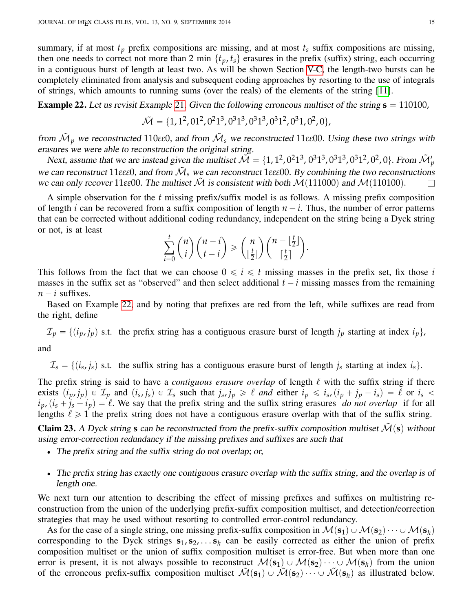summary, if at most  $t_p$  prefix compositions are missing, and at most  $t_s$  suffix compositions are missing, then one needs to correct not more than 2 min  $\{t_p, t_s\}$  erasures in the prefix (suffix) string, each occurring in a contiguous burst of length at least two. As will be shown Section [V-C,](#page-19-0) the length-two bursts can be completely eliminated from analysis and subsequent coding approaches by resorting to the use of integrals of strings, which amounts to running sums (over the reals) of the elements of the string [\[11\]](#page-22-6).

<span id="page-14-0"></span>**Example 22.** Let us revisit Example [21](#page-13-0). Given the following erroneous multiset of the string  $s = 110100$ ,

$$
\tilde{\mathcal{M}} = \{1, 1^2, 01^2, 0^21^3, 0^31^3, 0^31^3, 0^31^2, 0^31, 0^2, 0\},\
$$

from  $\tilde{M}_p$  we reconstructed 110εε0, and from  $\tilde{M}_s$  we reconstructed 11εε00. Using these two strings with erasures we were able to reconstruction the original string.

Next, assume that we are instead given the multiset  $\tilde{\mathcal{M}} = \{1, 1^2, 0^2 1^3, 0^3 1^3, 0^3 1^3, 0^3 1^2, 0^2, 0\}$ . From  $\tilde{\mathcal{M}}_p'$ we can reconstruct 11 $\varepsilon \varepsilon$ ε0, and from  $\tilde{M}_s$  we can reconstruct 1 $\varepsilon \varepsilon$ ε00. By combining the two reconstructions we can only recover 11 $\varepsilon$ *e*00. The multiset  $\tilde{\mathcal{M}}$  is consistent with both  $\mathcal{M}(111000)$  and  $\mathcal{M}(110100)$ .

A simple observation for the *t* missing prefix/suffix model is as follows. A missing prefix composition of length *i* can be recovered from a suffix composition of length  $n - i$ . Thus, the number of error patterns that can be corrected without additional coding redundancy, independent on the string being a Dyck string or not, is at least ˆ ˙ˆˆ ˙

$$
\sum_{i=0}^t \binom{n}{i} \binom{n-i}{t-i} \ge \binom{n}{\lfloor \frac{t}{2} \rfloor} \binom{n-\lfloor \frac{t}{2} \rfloor}{\lceil \frac{t}{2} \rceil}.
$$

This follows from the fact that we can choose  $0 \leq i \leq t$  missing masses in the prefix set, fix those *i* masses in the suffix set as "observed" and then select additional  $t - i$  missing masses from the remaining  $n - i$  suffixes.

Based on Example [22,](#page-14-0) and by noting that prefixes are red from the left, while suffixes are read from the right, define

 $\mathcal{I}_p = \{(i_p, j_p) \text{ s.t. } \text{the prefix string has a contiguous erasure burst of length } j_p \text{ starting at index } i_p\},\$ 

and

 $\mathcal{I}_s = \{(i_s, j_s) \text{ s.t. } \text{the suffix string has a contiguous erasure burst of length } j_s \text{ starting at index } i_s\}.$ 

The prefix string is said to have a *contiguous erasure overlap* of length  $\ell$  with the suffix string if there exists  $(i_p, j_p) \in \mathcal{I}_p$  and  $(i_s, j_s) \in \mathcal{I}_s$  such that  $j_s, j_p \geq \ell$  and either  $i_p \leq i_s$ ,  $(i_p + j_p - i_s) = \ell$  or  $i_s <$  $i_p$ ,  $(i_s + j_s - i_p) = \ell$ . We say that the prefix string and the suffix string erasures *do not overlap* if for all lengths  $\ell \geq 1$  the prefix string does not have a contiguous erasure overlap with that of the suffix string.

Claim 23. A Dyck string **s** can be reconstructed from the prefix-suffix composition multiset  $\mathcal{M}(s)$  without using error-correction redundancy if the missing prefixes and suffixes are such that

- The prefix string and the suffix string do not overlap; or,
- ' The prefix string has exactly one contiguous erasure overlap with the suffix string, and the overlap is of length one.

We next turn our attention to describing the effect of missing prefixes and suffixes on multistring reconstruction from the union of the underlying prefix-suffix composition multiset, and detection/correction strategies that may be used without resorting to controlled error-control redundancy.

As for the case of a single string, one missing prefix-suffix composition in  $M(\mathbf{s}_1) \cup M(\mathbf{s}_2) \cdots \cup M(\mathbf{s}_h)$ corresponding to the Dyck strings  $s_1, s_2, \ldots, s_h$  can be easily corrected as either the union of prefix composition multiset or the union of suffix composition multiset is error-free. But when more than one error is present, it is not always possible to reconstruct  $\mathcal{M}(s_1)\cup \mathcal{M}(s_2)\cdots \cup \mathcal{M}(s_h)$  from the union of the erroneous prefix-suffix composition multiset  $\mathcal{M}(\mathbf{s}_1) \cup \mathcal{M}(\mathbf{s}_2) \cdots \cup \mathcal{M}(\mathbf{s}_h)$  as illustrated below.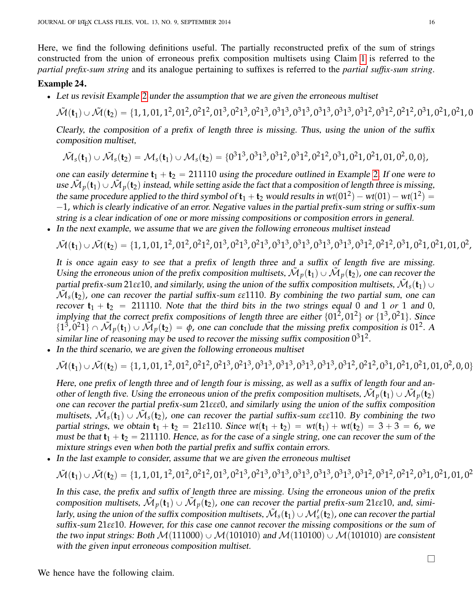Here, we find the following definitions useful. The partially reconstructed prefix of the sum of strings constructed from the union of erroneous prefix composition multisets using Claim [1](#page-2-1) is referred to the *partial prefix-sum string* and its analogue pertaining to suffixes is referred to the *partial suffix-sum string*.

# Example 24.

• Let us revisit Example [2](#page-2-2) under the assumption that we are given the erroneous multiset

M˜ p**t**1q YM˜ p**t**2q " t1, 1, 01, 1<sup>2</sup> , 01<sup>2</sup> , 0<sup>2</sup> 1 2 , 01<sup>3</sup> , 0<sup>2</sup> 1 3 , 0<sup>2</sup> 1 3 , 0<sup>3</sup> 1 3 , 0<sup>3</sup> 1 3 , 0<sup>3</sup> 1 3 , 0<sup>3</sup> 1 3 , 0<sup>3</sup> 1 2 , 0<sup>3</sup> 1 2 , 0<sup>2</sup> 1 2 , 0<sup>3</sup> 1, 0<sup>2</sup> 1, 0<sup>2</sup> 1, 01, 0<sup>2</sup>

Clearly, the composition of a prefix of length three is missing. Thus, using the union of the suffix composition multiset,

$$
\tilde{\mathcal{M}}_s(\mathbf{t}_1) \cup \tilde{\mathcal{M}}_s(\mathbf{t}_2) = \mathcal{M}_s(\mathbf{t}_1) \cup \mathcal{M}_s(\mathbf{t}_2) = \{0^31^3, 0^31^3, 0^31^2, 0^31^2, 0^21^2, 0^31, 0^21, 0^21, 01, 0^2, 0, 0\},\
$$

one can easily determine  $t_1 + t_2 = 211110$  $t_1 + t_2 = 211110$  $t_1 + t_2 = 211110$  using the procedure outlined in Example 2. If one were to use  $\tilde{M}_p(\mathbf{t}_1) \cup \tilde{M}_p(\mathbf{t}_2)$  instead, while setting aside the fact that a composition of length three is missing, the same procedure applied to the third symbol of  $t_1 + t_2$  would results in  $wt(01^2) - wt(01) - wt(1^2) =$  $-1$ , which is clearly indicative of an error. Negative values in the partial prefix-sum string or suffix-sum string is a clear indication of one or more missing compositions or composition errors in general.

' In the next example, we assume that we are given the following erroneous multiset instead

$$
\tilde{\mathcal{M}}(\mathbf{t}_1) \cup \tilde{\mathcal{M}}(\mathbf{t}_2) = \{1, 1, 01, 1^2, 01^2, 0^21^2, 01^3, 0^21^3, 0^21^3, 0^31^3, 0^31^3, 0^31^3, 0^31^2, 0^31^2, 0^21^2, 0^31, 0^21, 0^21, 01, 0^2, 0^31, 0^41, 0^51, 0^61, 0^71, 0^81, 0^91, 0^91, 0^91, 0^91, 0^91, 0^91, 0^91, 0^91, 0^91, 0^91, 0^91, 0^91, 0^91, 0^91, 0^91, 0^91, 0^91, 0^91, 0^91, 0^91, 0^91, 0^91, 0^91, 0^91, 0^91, 0^91, 0^91, 0^91, 0^91, 0^91, 0^91, 0^91, 0^91, 0^91, 0^91, 0^91, 0^91, 0^91, 0^91, 0^91, 0^91, 0^91, 0^91, 0^91, 0^91, 0^91, 0^91, 0^91, 0^91, 0^91, 0^91, 0^91, 0^91, 0^91, 0^91, 0^91, 0^91, 0^91, 0^91, 0^91, 0^91, 0^91, 0^91, 0^91, 0^91, 0^91, 0^91, 0^91, 0^91, 0^91, 0^91, 0^91, 0^91, 0^91, 0^91, 0^91, 0^91, 0^91, 0^91, 0^91, 0^91, 0^91, 0^91, 0^91, 0^91, 0^91, 0^91, 0^91, 0^91, 0^91, 0^91, 0^91, 0^91, 0
$$

It is once again easy to see that a prefix of length three and a suffix of length five are missing. Using the erroneous union of the prefix composition multisets,  $\mathcal{M}_p(\mathbf{t}_1) \cup \mathcal{M}_p(\mathbf{t}_2)$ , one can recover the partial prefix-sum 21 $\varepsilon$ ε10, and similarly, using the union of the suffix composition multisets,  $\tilde{\cal M}_s(t_1)$   $\cup$  $\tilde{M}_s(t_2)$ , one can recover the partial suffix-sum  $\varepsilon \varepsilon$ 1110. By combining the two partial sum, one can recover  $t_1 + t_2 = 211110$ . Note that the third bits in the two strings equal 0 and 1 *or* 1 and 0, implying that the correct prefix compositions of length three are either  $\{01^2, 01^2\}$  or  $\{1^3, 0^21\}$ . Since  $\{1^3, 0^21\} \cap \tilde{M}_p(\mathbf{t}_1) \cup \tilde{M}_p(\mathbf{t}_2) = \phi$ , one can conclude that the missing prefix composition is 01<sup>2</sup>. A similar line of reasoning may be used to recover the missing suffix composition  $0^31^2$ .

' In the third scenario, we are given the following erroneous multiset

$$
\tilde{\mathcal{M}}(\mathbf{t}_1) \cup \tilde{\mathcal{M}}(\mathbf{t}_2) = \{1, 1, 01, 1^2, 01^2, 0^21^2, 0^21^3, 0^21^3, 0^31^3, 0^31^3, 0^31^3, 0^31^2, 0^31^2, 0^21^2, 0^31, 0^21, 0^21, 01, 0^2, 0, 0\}
$$

Here, one prefix of length three and of length four is missing, as well as a suffix of length four and another of length five. Using the erroneous union of the prefix composition multisets,  $\tilde{\mathcal{M}}_p(\mathbf{t}_1) \cup \tilde{\mathcal{M}}_p(\mathbf{t}_2)$ one can recover the partial prefix-sum 21*εεε*0, and similarly using the union of the suffix composition multisets,  $\tilde{M}_s(t_1) \cup \tilde{M}_s(t_2)$ , one can recover the partial suffix-sum  $\epsilon \epsilon$  2110. By combining the two partial strings, we obtain  $t_1 + t_2 = 21\varepsilon 110$ . Since  $wt(t_1 + t_2) = wt(t_1) + wt(t_2) = 3 + 3 = 6$ , we must be that  $\mathbf{t}_1 + \mathbf{t}_2 = 211110$ . Hence, as for the case of a single string, one can recover the sum of the mixture strings even when both the partial prefix and suffix contain errors.

' In the last example to consider, assume that we are given the erroneous multiset

M˜ p**t**1q YM˜ p**t**2q " t1, 1, 01, 1<sup>2</sup> , 01<sup>2</sup> , 0<sup>2</sup> 1 2 , 01<sup>3</sup> , 0<sup>2</sup> 1 3 , 0<sup>2</sup> 1 3 , 0<sup>3</sup> 1 3 , 0<sup>3</sup> 1 3 , 0<sup>3</sup> 1 3 , 0<sup>3</sup> 1 3 , 0<sup>3</sup> 1 2 , 0<sup>3</sup> 1 2 , 0<sup>2</sup> 1 2 , 0<sup>3</sup> 1, 0<sup>2</sup> 1, 01, 0<sup>2</sup>

In this case, the prefix and suffix of length three are missing. Using the erroneous union of the prefix composition multisets,  $\tilde{\mathcal{M}}_p(\mathbf{t}_1) \cup \tilde{\mathcal{M}}_p(\mathbf{t}_2)$ , one can recover the partial prefix-sum 21 $\varepsilon$ ε10, and, similarly, using the union of the suffix composition multisets,  $\tilde{M}_s(t_1) \cup M'_s(t_2)$ , one can recover the partial suffix-sum 21*εε*10. However, for this case one cannot recover the missing compositions or the sum of the two input strings: Both  $\mathcal{M}(111000) \cup \mathcal{M}(101010)$  and  $\mathcal{M}(110100) \cup \mathcal{M}(101010)$  are consistent with the given input erroneous composition multiset.

l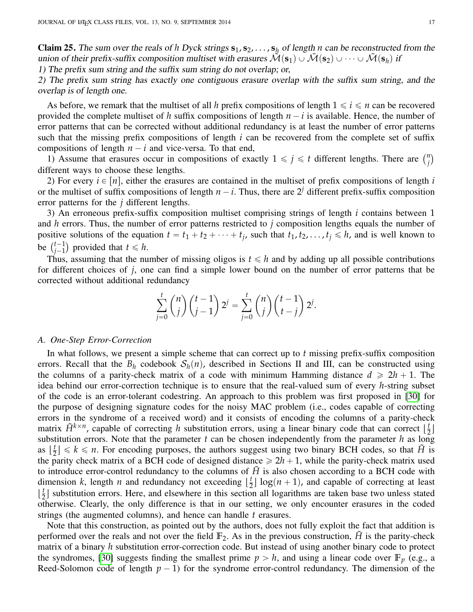Claim 25. The sum over the reals of *h* Dyck strings  $s_1, s_2, \ldots, s_h$  of length *n* can be reconstructed from the union of their prefix-suffix composition multiset with erasures  $\tilde{\mathcal{M}}(s_1) \cup \tilde{\mathcal{M}}(s_2) \cup \cdots \cup \tilde{\mathcal{M}}(s_h)$  if

1) The prefix sum string and the suffix sum string do not overlap; or,

2) The prefix sum string has exactly one contiguous erasure overlap with the suffix sum string, and the overlap is of length one.

As before, we remark that the multiset of all h prefix compositions of length  $1 \le i \le n$  can be recovered provided the complete multiset of *h* suffix compositions of length  $n - i$  is available. Hence, the number of error patterns that can be corrected without additional redundancy is at least the number of error patterns such that the missing prefix compositions of length *i* can be recovered from the complete set of suffix compositions of length  $n - i$  and vice-versa. To that end,

mpositions of length  $n - i$  and vice-versa. To that end,<br>1) Assume that erasures occur in compositions of exactly  $1 \le j \le t$  different lengths. There are  $\binom{n}{i}$ *j* different ways to choose these lengths.

2) For every  $i \in [n]$ , either the erasures are contained in the multiset of prefix compositions of length *i* or the multiset of suffix compositions of length  $n - i$ . Thus, there are  $2^j$  different prefix-suffix composition error patterns for the *j* different lengths.

3) An erroneous prefix-suffix composition multiset comprising strings of length *i* contains between 1 and *h* errors. Thus, the number of error patterns restricted to *j* composition lengths equals the number of positive solutions of the equation  $t = t_1 + t_2 + \cdots + t_j$ , such that  $t_1, t_2, \ldots, t_j \leq h$ , and is well known to positive<br>be  $\binom{t-1}{i-1}$  $j-1 \choose j-1$  provided that  $t \leq h$ .

Thus, assuming that the number of missing oligos is  $t \le h$  and by adding up all possible contributions for different choices of *j*, one can find a simple lower bound on the number of error patterns that be corrected without additional redundancy

$$
\sum_{j=0}^t \binom{n}{j} \binom{t-1}{j-1} 2^j = \sum_{j=0}^t \binom{n}{j} \binom{t-1}{t-j} 2^j.
$$

### *A. One-Step Error-Correction*

In what follows, we present a simple scheme that can correct up to *t* missing prefix-suffix composition errors. Recall that the  $B_h$  codebook  $S_h(n)$ , described in Sections II and III, can be constructed using the columns of a parity-check matrix of a code with minimum Hamming distance  $d \ge 2h + 1$ . The idea behind our error-correction technique is to ensure that the real-valued sum of every *h*-string subset of the code is an error-tolerant codestring. An approach to this problem was first proposed in [\[30\]](#page-23-11) for the purpose of designing signature codes for the noisy MAC problem (i.e., codes capable of correcting errors in the syndrome of a received word) and it consists of encoding the columns of a parity-check matrix  $\tilde{H}^{k \times n}$ , capable of correcting *h* substitution errors, using a linear binary code that can correct  $\lfloor \frac{t}{2} \rfloor$  $\frac{1}{2}$ substitution errors. Note that the parameter *t* can be chosen independently from the parameter *h* as long as  $\left\lfloor \frac{t}{2} \right\rfloor$  $\left(\frac{t}{2}\right) \leq k \leq n$ . For encoding purposes, the authors suggest using two binary BCH codes, so that  $\tilde{H}$  is the parity check matrix of a BCH code of designed distance  $\ge 2h + 1$ , while the parity-check matrix used to introduce error-control redundancy to the columns of  $\tilde{H}$  is also chosen according to a BCH code with dimension *k*, length *n* and redundancy not exceeding  $\left[\frac{t}{2}\right]$  $\frac{t}{2}$  log(*n* + 1), and capable of correcting at least  $\frac{t}{2}$  $\frac{t}{2}$  substitution errors. Here, and elsewhere in this section all logarithms are taken base two unless stated otherwise. Clearly, the only difference is that in our setting, we only encounter erasures in the coded strings (the augmented columns), and hence can handle *t* erasures.

Note that this construction, as pointed out by the authors, does not fully exploit the fact that addition is performed over the reals and not over the field  $\mathbb{F}_2$ . As in the previous construction,  $\hat{H}$  is the parity-check matrix of a binary *h* substitution error-correction code. But instead of using another binary code to protect the syndromes, [\[30\]](#page-23-11) suggests finding the smallest prime  $p > h$ , and using a linear code over  $\mathbb{F}_p$  (e.g., a Reed-Solomon code of length  $p - 1$ ) for the syndrome error-control redundancy. The dimension of the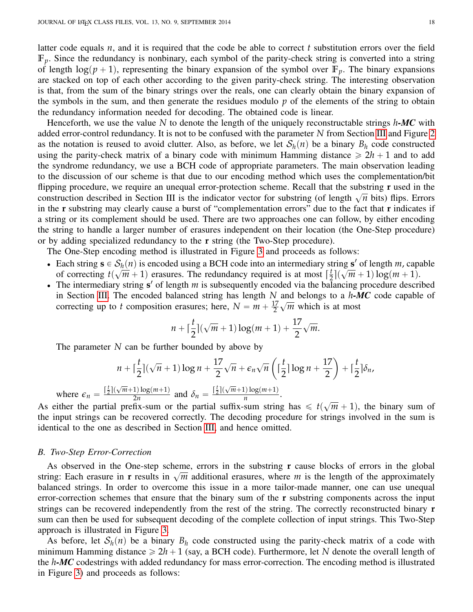latter code equals *n*, and it is required that the code be able to correct *t* substitution errors over the field  $\mathbb{F}_p$ . Since the redundancy is nonbinary, each symbol of the parity-check string is converted into a string of length  $\log(p+1)$ , representing the binary expansion of the symbol over  $\mathbb{F}_p$ . The binary expansions are stacked on top of each other according to the given parity-check string. The interesting observation is that, from the sum of the binary strings over the reals, one can clearly obtain the binary expansion of the symbols in the sum, and then generate the residues modulo *p* of the elements of the string to obtain the redundancy information needed for decoding. The obtained code is linear.

Henceforth, we use the value *N* to denote the length of the uniquely reconstructable strings *h-MC* with added error-control redundancy. It is not to be confused with the parameter *N* from Section [III](#page-3-0) and Figure [2](#page-6-0) as the notation is reused to avoid clutter. Also, as before, we let  $S_h(n)$  be a binary  $B_h$  code constructed using the parity-check matrix of a binary code with minimum Hamming distance  $\geq 2h + 1$  and to add the syndrome redundancy, we use a BCH code of appropriate parameters. The main observation leading to the discussion of our scheme is that due to our encoding method which uses the complementation/bit flipping procedure, we require an unequal error-protection scheme. Recall that the substring **r** used in the Impping procedure, we require an unequal error-protection scheme. Recan that the substring **1** used in the construction described in Section III is the indicator vector for substring (of length  $\sqrt{n}$  bits) flips. Errors in the **r** substring may clearly cause a burst of "complementation errors" due to the fact that **r** indicates if a string or its complement should be used. There are two approaches one can follow, by either encoding the string to handle a larger number of erasures independent on their location (the One-Step procedure) or by adding specialized redundancy to the **r** string (the Two-Step procedure).

The One-Step encoding method is illustrated in Figure [3](#page-18-0) and proceeds as follows:

- Each string  $\mathbf{s} \in S_h(n)$  is encoded using a BCH code into an intermediary string  $\mathbf{s}'$  of length *m*, capable of correcting  $t$  $\mathcal{O}_\beta$  $\overline{m}$  + 1) erasures. The redundancy required is at most  $\lceil \frac{t}{2} \rceil$  $\frac{1}{2}$   $\Big($  $\frac{18}{2}$  $(m + 1) \log(m + 1).$
- The intermediary string  $s'$  of length  $m$  is subsequently encoded via the balancing procedure described in Section [III.](#page-3-0) The encoded balanced string has length *N* and belongs to a *h-MC* code capable of correcting up to *t* composition erasures; here,  $N = m + \frac{17}{2}$ 2  $\frac{a_1}{a_2}$ *m* which is at most

$$
n + \lceil \frac{t}{2} \rceil (\sqrt{m} + 1) \log(m + 1) + \frac{17}{2} \sqrt{m}.
$$

The parameter *N* can be further bounded by above by

$$
n + \lceil \frac{t}{2} \rceil (\sqrt{n} + 1) \log n + \frac{17}{2} \sqrt{n} + \epsilon_n \sqrt{n} \left( \lceil \frac{t}{2} \rceil \log n + \frac{17}{2} \right) + \lceil \frac{t}{2} \rceil \delta_n,
$$
  
where  $\epsilon_n = \frac{\lceil \frac{t}{2} \rceil (\sqrt{m} + 1) \log(m + 1)}{2n}$  and  $\delta_n = \frac{\lceil \frac{t}{2} \rceil (\sqrt{m} + 1) \log(m + 1)}{n}$ .

As either the partial prefix-sum or the partial suffix-sum string has  $\leq t$ ?  $\overline{m}$  + 1), the binary sum of the input strings can be recovered correctly. The decoding procedure for strings involved in the sum is identical to the one as described in Section [III,](#page-3-0) and hence omitted.

#### *B. Two-Step Error-Correction*

As observed in the One-step scheme, errors in the substring **r** cause blocks of errors in the global As observed in the One-step scheme, errors in the substring I cause blocks of errors in the global string: Each erasure in **r** results in  $\sqrt{m}$  additional erasures, where *m* is the length of the approximately balanced strings. In order to overcome this issue in a more tailor-made manner, one can use unequal error-correction schemes that ensure that the binary sum of the **r** substring components across the input strings can be recovered independently from the rest of the string. The correctly reconstructed binary **r** sum can then be used for subsequent decoding of the complete collection of input strings. This Two-Step approach is illustrated in Figure [3.](#page-18-0)

As before, let  $S_h(n)$  be a binary  $B_h$  code constructed using the parity-check matrix of a code with minimum Hamming distance  $\geq 2h + 1$  (say, a BCH code). Furthermore, let N denote the overall length of the *h-MC* codestrings with added redundancy for mass error-correction. The encoding method is illustrated in Figure [3\)](#page-18-0) and proceeds as follows: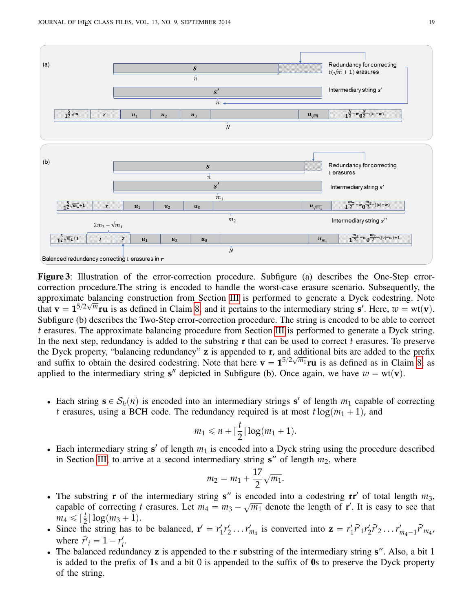<span id="page-18-0"></span>

Figure 3: Illustration of the error-correction procedure. Subfigure (a) describes the One-Step errorcorrection procedure.The string is encoded to handle the worst-case erasure scenario. Subsequently, the approximate balancing construction from Section [III](#page-3-0) is performed to generate a Dyck codestring. Note that  $\mathbf{v} = \mathbf{1}^{5/2\sqrt{m}} \mathbf{r} \mathbf{u}$  is as defined in Claim [8,](#page-6-1) and it pertains to the intermediary string  $\mathbf{s}'$ . Here,  $w = \text{wt}(\mathbf{v})$ . Subfigure (b) describes the Two-Step error-correction procedure. The string is encoded to be able to correct *t* erasures. The approximate balancing procedure from Section [III](#page-3-0) is performed to generate a Dyck string. In the next step, redundancy is added to the substring **r** that can be used to correct *t* erasures. To preserve the Dyck property, "balancing redundancy" **z** is appended to **r**, and additional bits are added to the prefix and suffix to obtain the desired codestring. Note that here  $\mathbf{v} = \mathbf{1}^{5/2\sqrt{m_1}}\mathbf{r}\mathbf{u}$  is as defined as in Claim [8,](#page-6-1) as applied to the intermediary string **s**<sup>*n*</sup> depicted in Subfigure (b). Once again, we have  $w = wt(v)$ .

• Each string  $\mathbf{s} \in S_h(n)$  is encoded into an intermediary strings **s**' of length  $m_1$  capable of correcting *t* erasures, using a BCH code. The redundancy required is at most  $t \log(m_1 + 1)$ , and

$$
m_1 \leqslant n + \lceil \frac{t}{2} \rceil \log(m_1 + 1).
$$

• Each intermediary string  $s'$  of length  $m_1$  is encoded into a Dyck string using the procedure described in Section [III,](#page-3-0) to arrive at a second intermediary string  $s''$  of length  $m_2$ , where

$$
m_2 = m_1 + \frac{17}{2} \sqrt{m_1}.
$$

- $\bullet$  The substring **r** of the intermediary string **s**" is encoded into a codestring **rr**' of total length  $m_3$ , capable of correcting *t* erasures. Let  $m_4 = m_3 - \sqrt{m_1}$  denote the length of **r'**. It is easy to see that  $m_4 \leqslant \lceil \frac{t}{2} \rceil \log(m_3 + 1).$
- Since the string has to be balanced,  $\mathbf{r}' = r_1'$  $T_1'r_2' \ldots r_{m_4}'$  is converted into  $z = r_1'$  $T_1 \bar{r}'_1 r'_2 \bar{r}'_2 \ldots r'_{m_4-1} \bar{r}'_{m_4},$ where  $\bar{r'}_i = 1 - r'_i$ *i* .
- ' The balanced redundancy **z** is appended to the **r** substring of the intermediary string **s**". Also, a bit 1 is added to the prefix of 1s and a bit 0 is appended to the suffix of 0s to preserve the Dyck property of the string.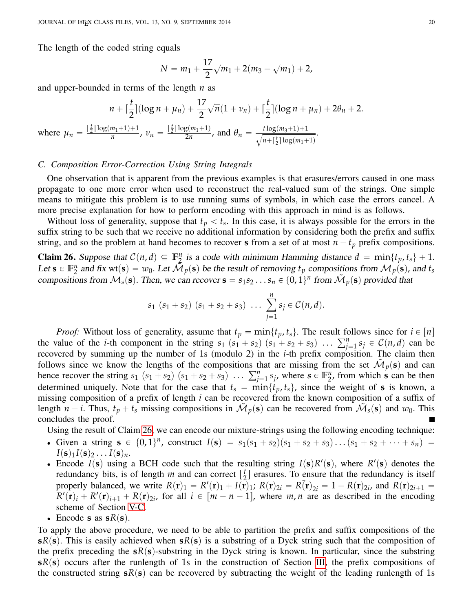The length of the coded string equals

$$
N = m_1 + \frac{17}{2}\sqrt{m_1} + 2(m_3 - \sqrt{m_1}) + 2,
$$

and upper-bounded in terms of the length *n* as

$$
n + \lceil \frac{t}{2} \rceil (\log n + \mu_n) + \frac{17}{2} \sqrt{n} (1 + \nu_n) + \lceil \frac{t}{2} \rceil (\log n + \mu_n) + 2\theta_n + 2.
$$
  
where  $\mu_n = \frac{\lceil \frac{t}{2} \rceil \log(m_1 + 1) + 1}{n}$ ,  $\nu_n = \frac{\lceil \frac{t}{2} \rceil \log(m_1 + 1)}{2n}$ , and  $\theta_n = \frac{t \log(m_3 + 1) + 1}{\sqrt{n + \lceil \frac{t}{2} \rceil \log(m_1 + 1)}}$ .

# <span id="page-19-0"></span>*C. Composition Error-Correction Using String Integrals*

One observation that is apparent from the previous examples is that erasures/errors caused in one mass propagate to one more error when used to reconstruct the real-valued sum of the strings. One simple means to mitigate this problem is to use running sums of symbols, in which case the errors cancel. A more precise explanation for how to perform encoding with this approach in mind is as follows.

Without loss of generality, suppose that  $t_p < t_s$ . In this case, it is always possible for the errors in the suffix string to be such that we receive no additional information by considering both the prefix and suffix string, and so the problem at hand becomes to recover **s** from a set of at most  $n - t_p$  prefix compositions.

<span id="page-19-1"></span>**Claim 26.** Suppose that  $C(n, d) \subseteq \mathbb{F}_2^n$  $\sum_{i=1}^{n}$  is a code with minimum Hamming distance  $d = \min\{t_p, t_s\} + 1$ . Let  $\mathbf{s} \in \mathbb{F}_2^n$  $\sum_{i=1}^{n}$  and fix wt(s) =  $w_0$ . Let  $\tilde{\mathcal{M}}_p(\mathbf{s})$  be the result of removing  $t_p$  compositions from  $\mathcal{M}_p(\mathbf{s})$ , and  $t_s$ compositions from  $\mathcal{M}_s(\mathbf{s})$ . Then, we can recover  $\mathbf{s} = s_1 s_2 \dots s_n \in \{0, 1\}^n$  from  $\tilde{\mathcal{M}}_p(\mathbf{s})$  provided that

$$
s_1
$$
  $(s_1 + s_2)$   $(s_1 + s_2 + s_3)$  ...  $\sum_{j=1}^{n} s_j \in C(n, d)$ .

*Proof:* Without loss of generality, assume that  $t_p = \min\{t_p, t_s\}$ . The result follows since for  $i \in [n]$ *Proof:* Without loss of generality, assume that  $t_p = \min\{t_p, t_s\}$ . The result follows since for  $t \in [n]$  the value of the *i*-th component in the string  $s_1$  ( $s_1 + s_2$ ) ( $s_1 + s_2 + s_3$ ) ...  $\sum_{j=1}^n s_j \in C(n, d)$  can be recovered by summing up the number of 1s (modulo 2) in the *i*-th prefix composition. The claim then follows since we know the lengths of the compositions that are missing from the set  $\tilde{\mathcal{M}}_p(\mathbf{s})$  and can follows since we know the lengths of the compositions that are missing frequence recover the string  $s_1$   $(s_1 + s_2)$   $(s_1 + s_2 + s_3)$   $\ldots$   $\sum_{j=1}^n s_j$ , where  $s \in \mathbb{F}_2^n$  $n_2$ , from which **s** can be then determined uniquely. Note that for the case that  $t_s = \min\{t_p, t_s\}$ , since the weight of **s** is known, a missing composition of a prefix of length *i* can be recovered from the known composition of a suffix of length  $n - i$ . Thus,  $t_p + t_s$  missing compositions in  $\tilde{\mathcal{M}}_p(\mathbf{s})$  can be recovered from  $\tilde{\mathcal{M}}_s(\mathbf{s})$  and  $w_0$ . This concludes the proof.

Using the result of Claim [26,](#page-19-1) we can encode our mixture-strings using the following encoding technique:

- Given a string  $s \in \{0, 1\}^n$ , construct  $I(s) = s_1(s_1 + s_2)(s_1 + s_2 + s_3) \dots (s_1 + s_2 + \dots + s_n) =$  $I(\mathbf{s})_1 I(\mathbf{s})_2 \ldots I(\mathbf{s})_n$ .
- Encode  $I(s)$  using a BCH code such that the resulting string  $I(s)R'(s)$ , where  $R'(s)$  denotes the redundancy bits, is of length *m* and can correct  $\left[\frac{t}{2}\right]$  $\frac{t}{2}$  erasures. To ensure that the redundancy is itself properly balanced, we write  $R(\mathbf{r})_1 = R'(\mathbf{r})_1 + I(\mathbf{r})_1$ ;  $R(\mathbf{r})_{2i} = R(\mathbf{r})_{2i} = 1 - R(\mathbf{r})_{2i}$ , and  $R(\mathbf{r})_{2i+1} =$  $R'(\mathbf{r})_i + R'(\mathbf{r})_{i+1} + R(\mathbf{r})_{2i}$ , for all  $i \in [m - n - 1]$ , where *m*, *n* are as described in the encoding scheme of Section [V-C.](#page-19-0)
- Encode **s** as  $sR(s)$ .

To apply the above procedure, we need to be able to partition the prefix and suffix compositions of the **s** $R(s)$ . This is easily achieved when **s** $R(s)$  is a substring of a Dyck string such that the composition of the prefix preceding the  $sR(s)$ -substring in the Dyck string is known. In particular, since the substring  $sR(s)$  occurs after the runlength of 1s in the construction of Section [III,](#page-3-0) the prefix compositions of the constructed string  $sR(s)$  can be recovered by subtracting the weight of the leading runlength of 1s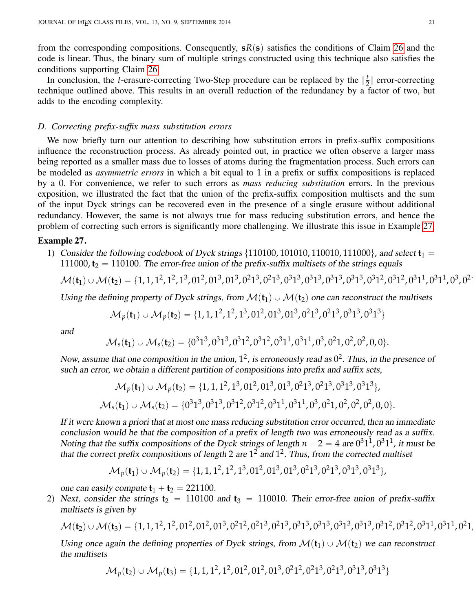from the corresponding compositions. Consequently,  $sR(s)$  satisfies the conditions of Claim [26](#page-19-1) and the code is linear. Thus, the binary sum of multiple strings constructed using this technique also satisfies the conditions supporting Claim [26.](#page-19-1)

In conclusion, the *t*-erasure-correcting Two-Step procedure can be replaced by the  $\left\lfloor \frac{t}{2} \right\rfloor$  $\frac{t}{2}$  error-correcting technique outlined above. This results in an overall reduction of the redundancy by a factor of two, but adds to the encoding complexity.

# *D. Correcting prefix-suffix mass substitution errors*

We now briefly turn our attention to describing how substitution errors in prefix-suffix compositions influence the reconstruction process. As already pointed out, in practice we often observe a larger mass being reported as a smaller mass due to losses of atoms during the fragmentation process. Such errors can be modeled as *asymmetric errors* in which a bit equal to 1 in a prefix or suffix compositions is replaced by a 0. For convenience, we refer to such errors as *mass reducing substitution* errors. In the previous exposition, we illustrated the fact that the union of the prefix-suffix composition multisets and the sum of the input Dyck strings can be recovered even in the presence of a single erasure without additional redundancy. However, the same is not always true for mass reducing substitution errors, and hence the problem of correcting such errors is significantly more challenging. We illustrate this issue in Example [27.](#page-20-0)

#### <span id="page-20-0"></span>Example 27.

1) Consider the following codebook of Dyck strings  $\{110100, 101010, 110010, 111000\}$ , and select  $t_1 =$ 111000,  $t_2$  = 110100. The error-free union of the prefix-suffix multisets of the strings equals

$$
\mathcal{M}(\mathbf{t}_1) \cup \mathcal{M}(\mathbf{t}_2) = \{1, 1, 1^2, 1^2, 1^3, 01^2, 01^3, 01^3, 0^21^3, 0^21^3, 0^31^3, 0^31^3, 0^31^3, 0^31^2, 0^31^2, 0^31^2, 0^31^1, 0^31^1, 0^3, 0^21^2, 0^31^3, 0^41^2, 0^51^3, 0^61^4, 0^71^4, 0^81^4, 0^91^4, 0^91^4, 0^91^4, 0^91^4, 0^91^4, 0^91^4, 0^91^4, 0^91^4, 0^91^4, 0^91^4, 0^91^4, 0^91^4, 0^91^4, 0^91^4, 0^91^4, 0^91^4, 0^91^4, 0^91^4, 0^91^4, 0^91^4, 0^91^4, 0^91^4, 0^91^4, 0^91^4, 0^91^4, 0^91^4, 0^91^4, 0^91^4, 0^91^4, 0^91^4, 0^91^4, 0^91^4, 0^91^4, 0^91^4, 0^91^4, 0^91^4, 0^91^4, 0^91^4, 0^91^4, 0^91^4, 0^91^4, 0^91^4, 0^91^4, 0^91^4, 0^91^4, 0^91^4, 0^91^4, 0^91^4, 0^91^4, 0^91^4, 0^91^4, 0^91^4, 0^91^4, 0^91^4, 0^91^4, 0^91^4, 0^91^4, 0^91^4, 0^91^4, 0^91^4, 0^91^4, 0^91^4, 0^91^4, 0^91^4, 0^91^4, 0^91^4, 0^91^4, 0^91^4, 0^9
$$

Using the defining property of Dyck strings, from  $\mathcal{M}(\mathfrak{t}_1) \cup \mathcal{M}(\mathfrak{t}_2)$  one can reconstruct the multisets

$$
\mathcal{M}_p(\mathbf{t}_1) \cup \mathcal{M}_p(\mathbf{t}_2) = \{1, 1, 1^2, 1^2, 1^3, 01^2, 01^3, 01^3, 0^21^3, 0^21^3, 0^31^3, 0^31^3\}
$$

and

$$
\mathcal{M}_s(\textbf{t}_1) \cup \mathcal{M}_s(\textbf{t}_2) = \{0^31^3, 0^31^3, 0^31^2, 0^31^2, 0^31^1, 0^31^1, 0^3, 0^21, 0^2, 0^2, 0, 0\}.
$$

Now, assume that one composition in the union,  $1^2$ , is erroneously read as  $0^2$ . Thus, in the presence of such an error, we obtain a different partition of compositions into prefix and suffix sets,

$$
\mathcal{M}_p(\mathbf{t}_1) \cup \mathcal{M}_p(\mathbf{t}_2) = \{1, 1, 1^2, 1^3, 01^2, 01^3, 01^3, 0^21^3, 0^21^3, 0^31^3, 0^31^3\},
$$
  

$$
\mathcal{M}_s(\mathbf{t}_1) \cup \mathcal{M}_s(\mathbf{t}_2) = \{0^31^3, 0^31^3, 0^31^2, 0^31^2, 0^31^1, 0^31^1, 0^3, 0^21, 0^2, 0^2, 0^2, 0, 0\}.
$$

If it were known a priori that at most one mass reducing substitution error occurred, then an immediate conclusion would be that the composition of a prefix of length two was erroneously read as a suffix. Noting that the suffix compositions of the Dyck strings of length  $n-2 = 4$  are  $0<sup>3</sup>1<sup>1</sup>$ ,  $0<sup>3</sup>1<sup>1</sup>$ , it must be that the correct prefix compositions of length 2 are  $1^2$  and  $1^2$ . Thus, from the corrected multiset

$$
\mathcal{M}_p(\mathbf{t}_1) \cup \mathcal{M}_p(\mathbf{t}_2) = \{1, 1, 1^2, 1^2, 1^3, 01^2, 01^3, 01^3, 0^21^3, 0^21^3, 0^31^3, 0^31^3\},
$$

one can easily compute  $t_1 + t_2 = 221100$ .

2) Next, consider the strings  $t_2 = 110100$  and  $t_3 = 110010$ . Their error-free union of prefix-suffix multisets is given by

$$
\mathcal{M}(\mathbf{t}_2) \cup \mathcal{M}(\mathbf{t}_3) = \{1, 1, 1^2, 1^2, 01^2, 01^2, 01^3, 0^21^2, 0^21^3, 0^21^3, 0^31^3, 0^31^3, 0^31^3, 0^31^2, 0^31^2, 0^31^2, 0^31^1, 0^31^1, 0^21, 0^31^2, 0^41, 0^51^2, 0^61^2, 0^71^2, 0^81^2, 0^91^2, 0^91^2, 0^91^2, 0^91^2, 0^91^2, 0^91^2, 0^91^2, 0^91^2, 0^91^2, 0^91^2, 0^91^2, 0^91^2, 0^91^2, 0^91^2, 0^91^2, 0^91^2, 0^91^2, 0^91^2, 0^91^2, 0^91^2, 0^91^2, 0^91^2, 0^91^2, 0^91^2, 0^91^2, 0^91^2, 0^91^2, 0^91^2, 0^91^2, 0^91^2, 0^91^2, 0^91^2, 0^91^2, 0^91^2, 0^91^2, 0^91^2, 0^91^2, 0^91^2, 0^91^2, 0^91^2, 0^91^2, 0^91^2, 0^91^2, 0^91^2, 0^91^2, 0^91^2, 0^91^2, 0^91^2, 0^91^2, 0^91^2, 0^91^2, 0^91^2, 0^91^2, 0^91^2, 0^91^2, 0^91^2, 0^91^2, 0^91^2, 0^91^2, 0^91^2, 0^91^2, 0^91^2, 0^91^2, 0^91^2, 0^91^2, 0^91^2, 0^91^2, 0^91^2, 0^91^2, 0
$$

Using once again the defining properties of Dyck strings, from  $\mathcal{M}(\mathbf{t}_1) \cup \mathcal{M}(\mathbf{t}_2)$  we can reconstruct the multisets

$$
\mathcal{M}_p(\mathbf{t}_2) \cup \mathcal{M}_p(\mathbf{t}_3) = \{1, 1, 1^2, 1^2, 01^2, 01^2, 01^3, 0^21^2, 0^21^3, 0^21^3, 0^31^3, 0^31^3\}
$$

 $\ddot{\phantom{0}}$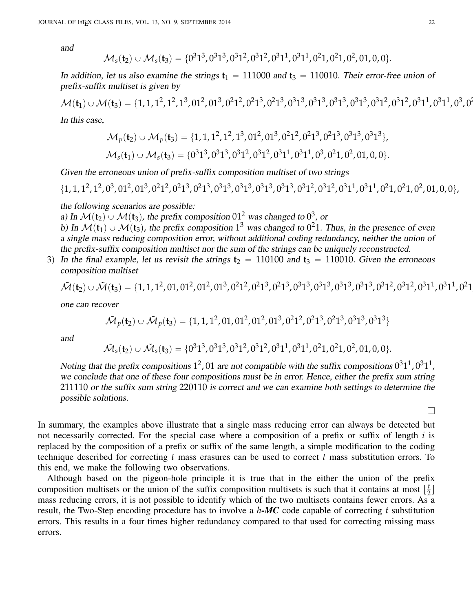and

$$
\mathcal{M}_s(\mathbf{t}_2) \cup \mathcal{M}_s(\mathbf{t}_3) = \{0^31^3, 0^31^3, 0^31^2, 0^31^2, 0^31^1, 0^31^1, 0^21, 0^21, 0^2, 01, 0, 0\}.
$$

In addition, let us also examine the strings  $t_1 = 111000$  and  $t_3 = 110010$ . Their error-free union of prefix-suffix multiset is given by

Mp**t**1q YMp**t**3q " t1, 1, 1<sup>2</sup> , 1<sup>2</sup> , 1<sup>3</sup> , 01<sup>2</sup> , 01<sup>3</sup> , 0<sup>2</sup> 1 2 , 0<sup>2</sup> 1 3 , 0<sup>2</sup> 1 3 , 0<sup>3</sup> 1 3 , 0<sup>3</sup> 1 3 , 0<sup>3</sup> 1 3 , 0<sup>3</sup> 1 3 , 0<sup>3</sup> 1 2 , 0<sup>3</sup> 1 2 , 0<sup>3</sup> 1 1 , 0<sup>3</sup> 1 1 , 0<sup>3</sup> , 0<sup>2</sup>

In this case,

$$
\mathcal{M}_p(\mathbf{t}_2) \cup \mathcal{M}_p(\mathbf{t}_3) = \{1, 1, 1^2, 1^2, 1^3, 01^2, 01^3, 0^21^2, 0^21^3, 0^21^3, 0^31^3, 0^31^3\},
$$
  

$$
\mathcal{M}_s(\mathbf{t}_1) \cup \mathcal{M}_s(\mathbf{t}_3) = \{0^31^3, 0^31^3, 0^31^2, 0^31^2, 0^31^1, 0^31^1, 0^3, 0^21, 0^2, 01, 0, 0\}.
$$

Given the erroneous union of prefix-suffix composition multiset of two strings

$$
\{1, 1, 1^2, 1^2, 0^3, 01^2, 01^3, 0^21^2, 0^21^3, 0^21^3, 0^31^3, 0^31^3, 0^31^3, 0^31^2, 0^31^2, 0^31^2, 0^31^1, 0^31^1, 0^21, 0^21, 0^2, 01, 0, 0\},\
$$

the following scenarios are possible:

a) In  $\mathcal{M}(\mathbf{t}_2) \cup \mathcal{M}(\mathbf{t}_3)$ , the prefix composition  $01^2$  was changed to  $0^3$ , or b) In  $\mathcal{M}(\mathbf{t}_1) \cup \mathcal{M}(\mathbf{t}_3)$ , the prefix composition 1<sup>3</sup> was changed to 0<sup>2</sup>1. Thus, in the presence of even a single mass reducing composition error, without additional coding redundancy, neither the union of the prefix-suffix composition multiset nor the sum of the strings can be uniquely reconstructed.

3) In the final example, let us revisit the strings  $t_2 = 110100$  and  $t_3 = 110010$ . Given the erroneous composition multiset

$$
\tilde{\mathcal{M}}(t_2) \cup \tilde{\mathcal{M}}(t_3) = \{1, 1, 1^2, 01, 01^2, 01^2, 01^3, 0^21^2, 0^21^3, 0^21^3, 0^31^3, 0^31^3, 0^31^3, 0^31^2, 0^31^2, 0^31^2, 0^31^1, 0^31^1, 0^21^2, 0^31^3, 0^41^2, 0^51^3, 0^61^4, 0^71^2, 0^81^2, 0^91^2, 0^91^2, 0^91^2, 0^91^2, 0^91^2, 0^91^2, 0^91^2, 0^91^2, 0^91^2, 0^91^2, 0^91^2, 0^91^2, 0^91^2, 0^91^2, 0^91^2, 0^91^2, 0^91^2, 0^91^2, 0^91^2, 0^91^2, 0^91^2, 0^91^2, 0^91^2, 0^91^2, 0^91^2, 0^91^2, 0^91^2, 0^91^2, 0^91^2, 0^91^2, 0^91^2, 0^91^2, 0^91^2, 0^91^2, 0^91^2, 0^91^2, 0^91^2, 0^91^2, 0^91^2, 0^91^2, 0^91^2, 0^91^2, 0^91^2, 0^91^2, 0^91^2, 0^91^2, 0^91^2, 0^91^2, 0^91^2, 0^91^2, 0^91^2, 0^91^2, 0^91^2, 0^91^2, 0^91^2, 0^91^2, 0^91^2, 0^91^2, 0^91^2, 0^91^2, 0^91^2, 0^91^2, 0^91^2, 0^91^2, 0^91^2, 0^91^2, 0^91^2, 0^91^2, 0^91^2
$$

one can recover

$$
\tilde{\mathcal{M}}_p(\mathbf{t}_2) \cup \tilde{\mathcal{M}}_p(\mathbf{t}_3) = \{1, 1, 1^2, 01, 01^2, 01^2, 01^3, 0^21^2, 0^21^3, 0^21^3, 0^31^3, 0^31^3\}
$$

and

$$
\tilde{\mathcal{M}}_s(\textbf{t}_2) \cup \tilde{\mathcal{M}}_s(\textbf{t}_3) = \{0^31^3, 0^31^3, 0^31^2, 0^31^2, 0^31^1, 0^31^1, 0^21, 0^21, 0^2, 01, 0, 0\}.
$$

Noting that the prefix compositions  $1^2$ , 01 are not compatible with the suffix compositions  $0^31^1$ ,  $0^31^1$ , we conclude that one of these four compositions must be in error. Hence, either the prefix sum string 211110 or the suffix sum string 220110 is correct and we can examine both settings to determine the possible solutions.

 $\Box$ 

1

In summary, the examples above illustrate that a single mass reducing error can always be detected but not necessarily corrected. For the special case where a composition of a prefix or suffix of length *i* is replaced by the composition of a prefix or suffix of the same length, a simple modification to the coding technique described for correcting *t* mass erasures can be used to correct *t* mass substitution errors. To this end, we make the following two observations.

Although based on the pigeon-hole principle it is true that in the either the union of the prefix composition multisets or the union of the suffix composition multisets is such that it contains at most  $\lfloor \frac{t}{2} \rfloor$  $\frac{1}{2}$ mass reducing errors, it is not possible to identify which of the two multisets contains fewer errors. As a result, the Two-Step encoding procedure has to involve a *h-MC* code capable of correcting *t* substitution errors. This results in a four times higher redundancy compared to that used for correcting missing mass errors.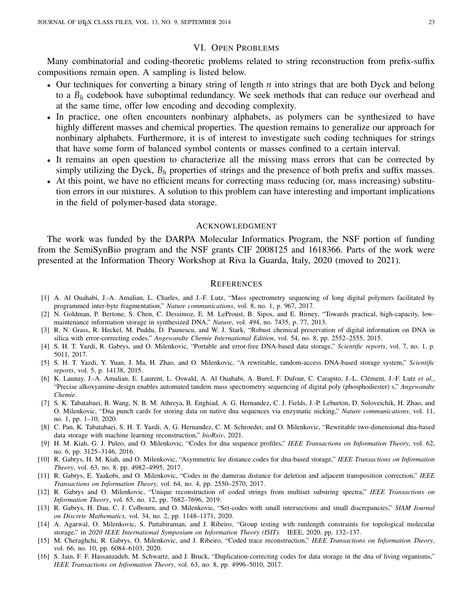# VI. OPEN PROBLEMS

Many combinatorial and coding-theoretic problems related to string reconstruction from prefix-suffix compositions remain open. A sampling is listed below.

- ' Our techniques for converting a binary string of length *n* into strings that are both Dyck and belong to a *B<sup>h</sup>* codebook have suboptimal redundancy. We seek methods that can reduce our overhead and at the same time, offer low encoding and decoding complexity.
- ' In practice, one often encounters nonbinary alphabets, as polymers can be synthesized to have highly different masses and chemical properties. The question remains to generalize our approach for nonbinary alphabets. Furthermore, it is of interest to investigate such coding techniques for strings that have some form of balanced symbol contents or masses confined to a certain interval.
- ' It remains an open question to characterize all the missing mass errors that can be corrected by simply utilizing the Dyck,  $B_h$  properties of strings and the presence of both prefix and suffix masses.
- ' At this point, we have no efficient means for correcting mass reducing (or, mass increasing) substitution errors in our mixtures. A solution to this problem can have interesting and important implications in the field of polymer-based data storage.

# ACKNOWLEDGMENT

The work was funded by the DARPA Molecular Informatics Program, the NSF portion of funding from the SemiSynBio program and the NSF grants CIF 2008125 and 1618366. Parts of the work were presented at the Information Theory Workshop at Riva la Guarda, Italy, 2020 (moved to 2021).

#### **REFERENCES**

- <span id="page-22-0"></span>[1] A. Al Ouahabi, J.-A. Amalian, L. Charles, and J.-F. Lutz, "Mass spectrometry sequencing of long digital polymers facilitated by programmed inter-byte fragmentation," *Nature communications*, vol. 8, no. 1, p. 967, 2017.
- [2] N. Goldman, P. Bertone, S. Chen, C. Dessimoz, E. M. LeProust, B. Sipos, and E. Birney, "Towards practical, high-capacity, lowmaintenance information storage in synthesized DNA," *Nature*, vol. 494, no. 7435, p. 77, 2013.
- [3] R. N. Grass, R. Heckel, M. Puddu, D. Paunescu, and W. J. Stark, "Robust chemical preservation of digital information on DNA in silica with error-correcting codes," *Angewandte Chemie International Edition*, vol. 54, no. 8, pp. 2552–2555, 2015.
- [4] S. H. T. Yazdi, R. Gabrys, and O. Milenkovic, "Portable and error-free DNA-based data storage," *Scientific reports*, vol. 7, no. 1, p. 5011, 2017.
- [5] S. H. T. Yazdi, Y. Yuan, J. Ma, H. Zhao, and O. Milenkovic, "A rewritable, random-access DNA-based storage system," *Scientific reports*, vol. 5, p. 14138, 2015.
- <span id="page-22-5"></span>[6] K. Launay, J.-A. Amalian, E. Laurent, L. Oswald, A. Al Ouahabi, A. Burel, F. Dufour, C. Carapito, J.-L. Clément, J.-F. Lutz et al., "Precise alkoxyamine-design enables automated tandem mass spectrometry sequencing of digital poly (phosphodiester) s," *Angewandte Chemie*.
- [7] S. K. Tabatabaei, B. Wang, N. B. M. Athreya, B. Enghiad, A. G. Hernandez, C. J. Fields, J.-P. Leburton, D. Soloveichik, H. Zhao, and O. Milenkovic, "Dna punch cards for storing data on native dna sequences via enzymatic nicking," *Nature communications*, vol. 11, no. 1, pp. 1–10, 2020.
- <span id="page-22-1"></span>[8] C. Pan, K. Tabatabaei, S. H. T. Yazdi, A. G. Hernandez, C. M. Schroeder, and O. Milenkovic, "Rewritable two-dimensional dna-based data storage with machine learning reconstruction," *bioRxiv*, 2021.
- <span id="page-22-2"></span>[9] H. M. Kiah, G. J. Puleo, and O. Milenkovic, "Codes for dna sequence profiles," *IEEE Transactions on Information Theory*, vol. 62, no. 6, pp. 3125–3146, 2016.
- [10] R. Gabrys, H. M. Kiah, and O. Milenkovic, "Asymmetric lee distance codes for dna-based storage," *IEEE Transactions on Information Theory*, vol. 63, no. 8, pp. 4982–4995, 2017.
- <span id="page-22-6"></span>[11] R. Gabrys, E. Yaakobi, and O. Milenkovic, "Codes in the damerau distance for deletion and adjacent transposition correction," *IEEE Transactions on Information Theory*, vol. 64, no. 4, pp. 2550–2570, 2017.
- [12] R. Gabrys and O. Milenkovic, "Unique reconstruction of coded strings from multiset substring spectra," *IEEE Transactions on Information Theory*, vol. 65, no. 12, pp. 7682–7696, 2019.
- [13] R. Gabrys, H. Dau, C. J. Colbourn, and O. Milenkovic, "Set-codes with small intersections and small discrepancies," *SIAM Journal on Discrete Mathematics*, vol. 34, no. 2, pp. 1148–1171, 2020.
- [14] A. Agarwal, O. Milenkovic, S. Pattabiraman, and J. Ribeiro, "Group testing with runlength constraints for topological molecular storage," in *2020 IEEE International Symposium on Information Theory (ISIT)*. IEEE, 2020, pp. 132–137.
- <span id="page-22-3"></span>[15] M. Cheraghchi, R. Gabrys, O. Milenkovic, and J. Ribeiro, "Coded trace reconstruction," *IEEE Transactions on Information Theory*, vol. 66, no. 10, pp. 6084–6103, 2020.
- <span id="page-22-4"></span>[16] S. Jain, F. F. Hassanzadeh, M. Schwartz, and J. Bruck, "Duplication-correcting codes for data storage in the dna of living organisms," *IEEE Transactions on Information Theory*, vol. 63, no. 8, pp. 4996–5010, 2017.